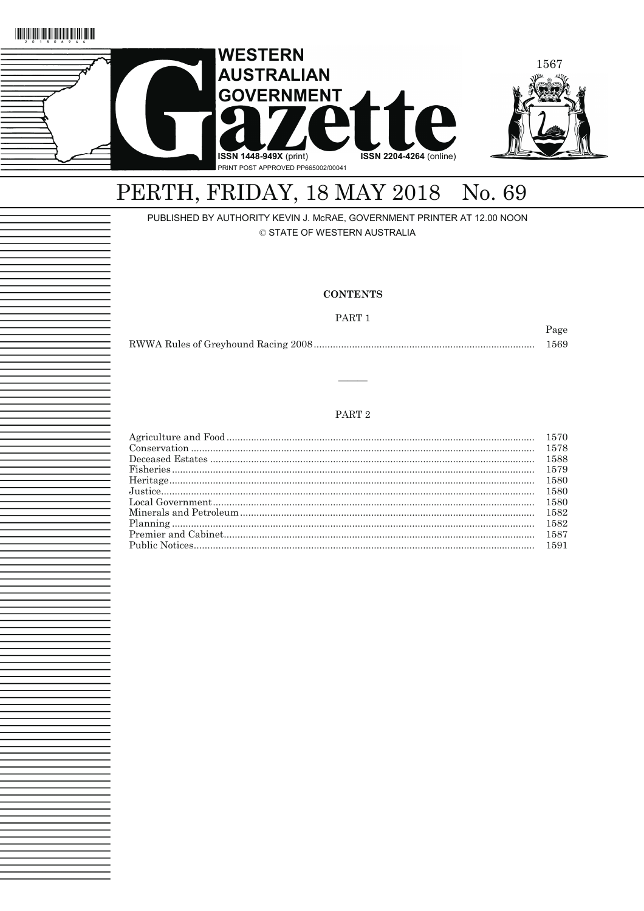



# PERTH, FRIDAY, 18 MAY 2018 No. 69

## PUBLISHED BY AUTHORITY KEVIN J. McRAE, GOVERNMENT PRINTER AT 12.00 NOON © STATE OF WESTERN AUSTRALIA

### **CONTENTS**

#### PART 1

Page

| 1569 |
|------|
|      |

## PART $2$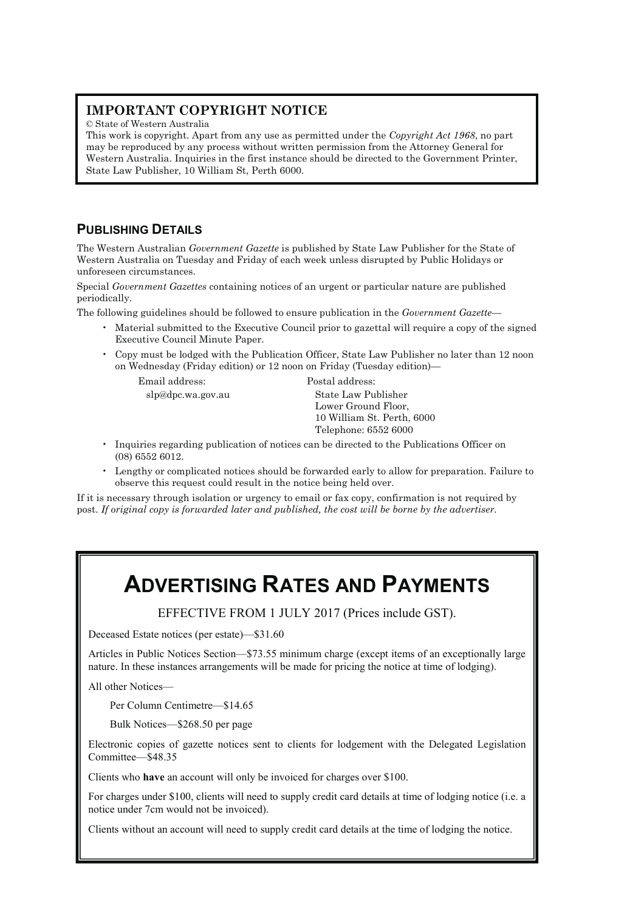# **IMPORTANT COPYRIGHT NOTICE**

© State of Western Australia

This work is copyright. Apart from any use as permitted under the *Copyright Act 1968*, no part may be reproduced by any process without written permission from the Attorney General for Western Australia. Inquiries in the first instance should be directed to the Government Printer, State Law Publisher, 10 William St, Perth 6000.

# **PUBLISHING DETAILS**

The Western Australian *Government Gazette* is published by State Law Publisher for the State of Western Australia on Tuesday and Friday of each week unless disrupted by Public Holidays or unforeseen circumstances.

Special *Government Gazettes* containing notices of an urgent or particular nature are published periodically.

The following guidelines should be followed to ensure publication in the *Government Gazette*—

- Material submitted to the Executive Council prior to gazettal will require a copy of the signed Executive Council Minute Paper.
- Copy must be lodged with the Publication Officer, State Law Publisher no later than 12 noon on Wednesday (Friday edition) or 12 noon on Friday (Tuesday edition)—

Email address: Postal address:

slp@dpc.wa.gov.au State Law Publisher Lower Ground Floor, 10 William St. Perth, 6000 Telephone: 6552 6000

- Inquiries regarding publication of notices can be directed to the Publications Officer on (08) 6552 6012.
- Lengthy or complicated notices should be forwarded early to allow for preparation. Failure to observe this request could result in the notice being held over.

If it is necessary through isolation or urgency to email or fax copy, confirmation is not required by post. *If original copy is forwarded later and published, the cost will be borne by the advertiser.* 

# **ADVERTISING RATES AND PAYMENTS**

EFFECTIVE FROM 1 JULY 2017 (Prices include GST).

Deceased Estate notices (per estate)—\$31.60

Articles in Public Notices Section—\$73.55 minimum charge (except items of an exceptionally large nature. In these instances arrangements will be made for pricing the notice at time of lodging).

All other Notices—

Per Column Centimetre—\$14.65

Bulk Notices—\$268.50 per page

Electronic copies of gazette notices sent to clients for lodgement with the Delegated Legislation Committee—\$48.35

Clients who **have** an account will only be invoiced for charges over \$100.

For charges under \$100, clients will need to supply credit card details at time of lodging notice (i.e. a notice under 7cm would not be invoiced).

Clients without an account will need to supply credit card details at the time of lodging the notice.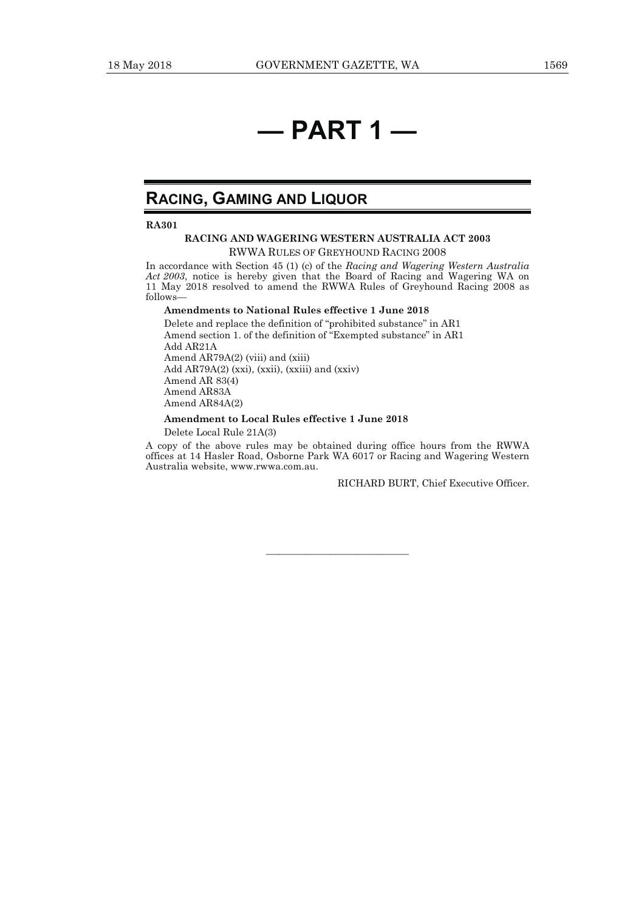# **— PART 1 —**

# **RACING, GAMING AND LIQUOR**

**RA301** 

#### **RACING AND WAGERING WESTERN AUSTRALIA ACT 2003**  RWWA RULES OF GREYHOUND RACING 2008

In accordance with Section 45 (1) (c) of the *Racing and Wagering Western Australia Act 2003*, notice is hereby given that the Board of Racing and Wagering WA on 11 May 2018 resolved to amend the RWWA Rules of Greyhound Racing 2008 as follows—

#### **Amendments to National Rules effective 1 June 2018**

Delete and replace the definition of "prohibited substance" in AR1 Amend section 1. of the definition of "Exempted substance" in AR1 Add AR21A Amend AR79A(2) (viii) and (xiii) Add AR79A(2) (xxi), (xxii), (xxiii) and (xxiv) Amend AR 83(4) Amend AR83A Amend AR84A(2)

#### **Amendment to Local Rules effective 1 June 2018**

Delete Local Rule 21A(3)

A copy of the above rules may be obtained during office hours from the RWWA offices at 14 Hasler Road, Osborne Park WA 6017 or Racing and Wagering Western Australia website, www.rwwa.com.au.

———————————

RICHARD BURT, Chief Executive Officer.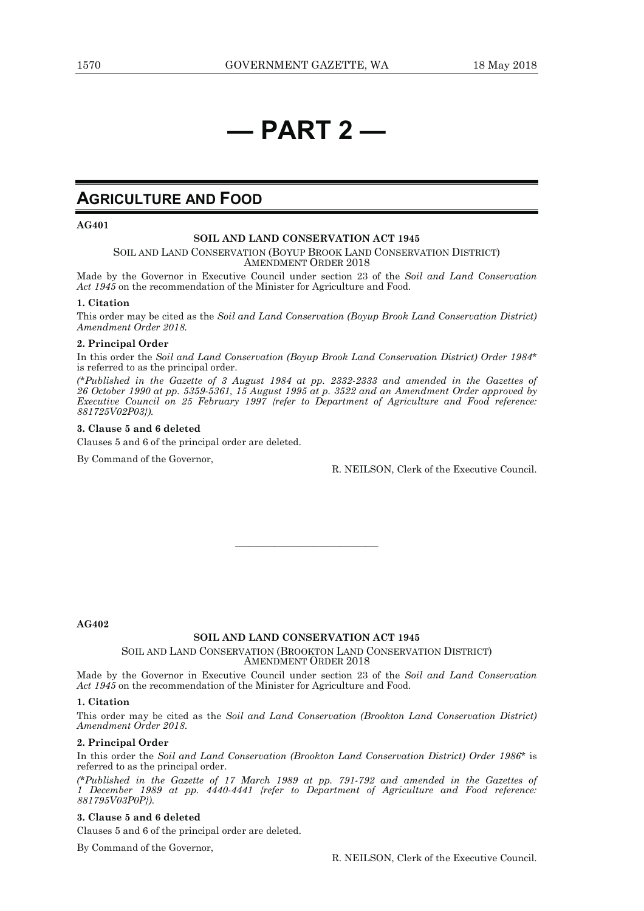# **— PART 2 —**

# **AGRICULTURE AND FOOD**

**AG401** 

#### **SOIL AND LAND CONSERVATION ACT 1945**

SOIL AND LAND CONSERVATION (BOYUP BROOK LAND CONSERVATION DISTRICT) AMENDMENT ORDER 2018

Made by the Governor in Executive Council under section 23 of the *Soil and Land Conservation Act 1945* on the recommendation of the Minister for Agriculture and Food.

#### **1. Citation**

This order may be cited as the *Soil and Land Conservation (Boyup Brook Land Conservation District) Amendment Order 2018.* 

#### **2. Principal Order**

In this order the *Soil and Land Conservation (Boyup Brook Land Conservation District) Order 1984*\* is referred to as the principal order.

*(\*Published in the Gazette of 3 August 1984 at pp. 2332-2333 and amended in the Gazettes of 26 October 1990 at pp. 5359-5361, 15 August 1995 at p. 3522 and an Amendment Order approved by Executive Council on 25 February 1997 {refer to Department of Agriculture and Food reference: 881725V02P03}).* 

#### **3. Clause 5 and 6 deleted**

Clauses 5 and 6 of the principal order are deleted.

By Command of the Governor,

R. NEILSON, Clerk of the Executive Council.

**AG402** 

#### **SOIL AND LAND CONSERVATION ACT 1945**

———————————

#### SOIL AND LAND CONSERVATION (BROOKTON LAND CONSERVATION DISTRICT) AMENDMENT ORDER 2018

Made by the Governor in Executive Council under section 23 of the *Soil and Land Conservation Act 1945* on the recommendation of the Minister for Agriculture and Food.

#### **1. Citation**

This order may be cited as the *Soil and Land Conservation (Brookton Land Conservation District) Amendment Order 2018*.

#### **2. Principal Order**

In this order the *Soil and Land Conservation (Brookton Land Conservation District) Order 1986*\* is referred to as the principal order.

*(\*Published in the Gazette of 17 March 1989 at pp. 791-792 and amended in the Gazettes of 1 December 1989 at pp. 4440-4441 {refer to Department of Agriculture and Food reference: 881795V03P0P}).* 

#### **3. Clause 5 and 6 deleted**

Clauses 5 and 6 of the principal order are deleted.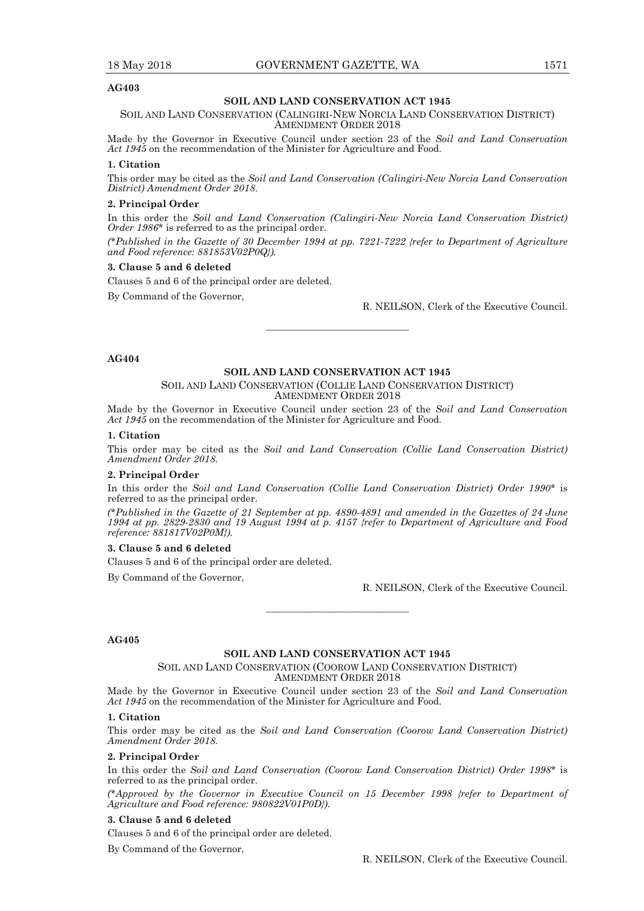#### **SOIL AND LAND CONSERVATION ACT 1945**

SOIL AND LAND CONSERVATION (CALINGIRI-NEW NORCIA LAND CONSERVATION DISTRICT) AMENDMENT ORDER 2018

Made by the Governor in Executive Council under section 23 of the *Soil and Land Conservation Act 1945* on the recommendation of the Minister for Agriculture and Food.

#### **1. Citation**

This order may be cited as the *Soil and Land Conservation (Calingiri-New Norcia Land Conservation District) Amendment Order 2018*.

#### **2. Principal Order**

In this order the *Soil and Land Conservation (Calingiri-New Norcia Land Conservation District) Order 1986*\* is referred to as the principal order.

*(\*Published in the Gazette of 30 December 1994 at pp. 7221-7222 {refer to Department of Agriculture and Food reference: 881853V02P0Q}).* 

#### **3. Clause 5 and 6 deleted**

Clauses 5 and 6 of the principal order are deleted.

By Command of the Governor,

R. NEILSON, Clerk of the Executive Council.

#### **AG404**

#### **SOIL AND LAND CONSERVATION ACT 1945**

———————————

SOIL AND LAND CONSERVATION (COLLIE LAND CONSERVATION DISTRICT) AMENDMENT ORDER 2018

Made by the Governor in Executive Council under section 23 of the *Soil and Land Conservation Act 1945* on the recommendation of the Minister for Agriculture and Food.

#### **1. Citation**

This order may be cited as the *Soil and Land Conservation (Collie Land Conservation District) Amendment Order 2018*.

#### **2. Principal Order**

In this order the *Soil and Land Conservation (Collie Land Conservation District) Order 1990*\* is referred to as the principal order.

*(\*Published in the Gazette of 21 September at pp. 4890-4891 and amended in the Gazettes of 24 June 1994 at pp. 2829-2830 and 19 August 1994 at p. 4157 {refer to Department of Agriculture and Food reference: 881817V02P0M}).* 

#### **3. Clause 5 and 6 deleted**

Clauses 5 and 6 of the principal order are deleted.

By Command of the Governor,

R. NEILSON, Clerk of the Executive Council.

#### **AG405**

#### **SOIL AND LAND CONSERVATION ACT 1945**

———————————

SOIL AND LAND CONSERVATION (COOROW LAND CONSERVATION DISTRICT) AMENDMENT ORDER 2018

Made by the Governor in Executive Council under section 23 of the *Soil and Land Conservation Act 1945* on the recommendation of the Minister for Agriculture and Food.

#### **1. Citation**

This order may be cited as the *Soil and Land Conservation (Coorow Land Conservation District) Amendment Order 2018*.

#### **2. Principal Order**

In this order the *Soil and Land Conservation (Coorow Land Conservation District) Order 1998*\* is referred to as the principal order.

*(\*Approved by the Governor in Executive Council on 15 December 1998 {refer to Department of Agriculture and Food reference: 980822V01P0D}).* 

#### **3. Clause 5 and 6 deleted**

Clauses 5 and 6 of the principal order are deleted.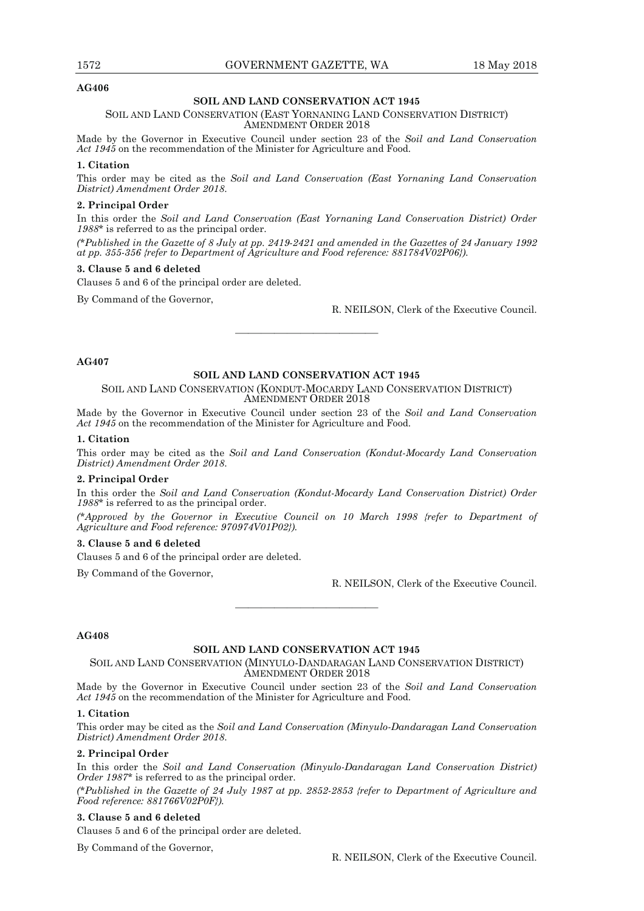#### **SOIL AND LAND CONSERVATION ACT 1945**

#### SOIL AND LAND CONSERVATION (EAST YORNANING LAND CONSERVATION DISTRICT) AMENDMENT ORDER 2018

Made by the Governor in Executive Council under section 23 of the *Soil and Land Conservation Act 1945* on the recommendation of the Minister for Agriculture and Food.

#### **1. Citation**

This order may be cited as the *Soil and Land Conservation (East Yornaning Land Conservation District) Amendment Order 2018*.

#### **2. Principal Order**

In this order the *Soil and Land Conservation (East Yornaning Land Conservation District) Order 1988\** is referred to as the principal order.

*(\*Published in the Gazette of 8 July at pp. 2419-2421 and amended in the Gazettes of 24 January 1992 at pp. 355-356 {refer to Department of Agriculture and Food reference: 881784V02P06}).* 

#### **3. Clause 5 and 6 deleted**

Clauses 5 and 6 of the principal order are deleted.

By Command of the Governor,

R. NEILSON, Clerk of the Executive Council.

#### **AG407**

#### **SOIL AND LAND CONSERVATION ACT 1945**

———————————

SOIL AND LAND CONSERVATION (KONDUT-MOCARDY LAND CONSERVATION DISTRICT) AMENDMENT ORDER 2018

Made by the Governor in Executive Council under section 23 of the *Soil and Land Conservation Act 1945* on the recommendation of the Minister for Agriculture and Food.

#### **1. Citation**

This order may be cited as the *Soil and Land Conservation (Kondut-Mocardy Land Conservation District) Amendment Order 2018*.

#### **2. Principal Order**

In this order the *Soil and Land Conservation (Kondut-Mocardy Land Conservation District) Order 1988\** is referred to as the principal order.

*(\*Approved by the Governor in Executive Council on 10 March 1998 {refer to Department of Agriculture and Food reference: 970974V01P02}).* 

#### **3. Clause 5 and 6 deleted**

Clauses 5 and 6 of the principal order are deleted.

By Command of the Governor,

R. NEILSON, Clerk of the Executive Council.

#### **AG408**

#### **SOIL AND LAND CONSERVATION ACT 1945**

———————————

SOIL AND LAND CONSERVATION (MINYULO-DANDARAGAN LAND CONSERVATION DISTRICT) AMENDMENT ORDER 2018

Made by the Governor in Executive Council under section 23 of the *Soil and Land Conservation Act 1945* on the recommendation of the Minister for Agriculture and Food.

#### **1. Citation**

This order may be cited as the *Soil and Land Conservation (Minyulo-Dandaragan Land Conservation District) Amendment Order 2018*.

#### **2. Principal Order**

In this order the *Soil and Land Conservation (Minyulo-Dandaragan Land Conservation District) Order 1987\** is referred to as the principal order.

*(\*Published in the Gazette of 24 July 1987 at pp. 2852-2853 {refer to Department of Agriculture and Food reference: 881766V02P0F}).* 

#### **3. Clause 5 and 6 deleted**

Clauses 5 and 6 of the principal order are deleted.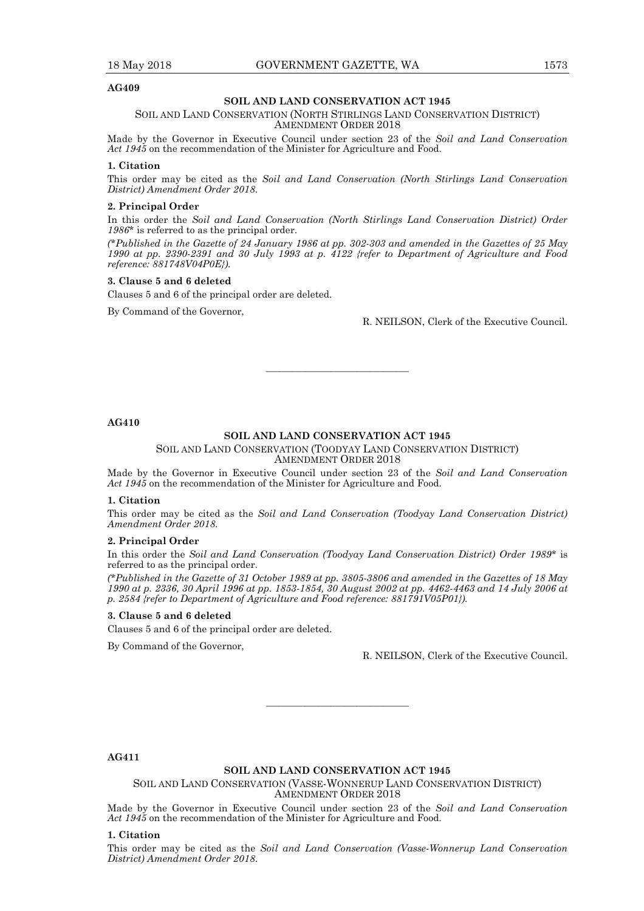#### **SOIL AND LAND CONSERVATION ACT 1945**

#### SOIL AND LAND CONSERVATION (NORTH STIRLINGS LAND CONSERVATION DISTRICT) AMENDMENT ORDER 2018

Made by the Governor in Executive Council under section 23 of the *Soil and Land Conservation Act 1945* on the recommendation of the Minister for Agriculture and Food.

#### **1. Citation**

This order may be cited as the *Soil and Land Conservation (North Stirlings Land Conservation District) Amendment Order 2018*.

#### **2. Principal Order**

In this order the *Soil and Land Conservation (North Stirlings Land Conservation District) Order 1986\** is referred to as the principal order.

*(\*Published in the Gazette of 24 January 1986 at pp. 302-303 and amended in the Gazettes of 25 May 1990 at pp. 2390-2391 and 30 July 1993 at p. 4122 {refer to Department of Agriculture and Food reference: 881748V04P0E}).* 

#### **3. Clause 5 and 6 deleted**

Clauses 5 and 6 of the principal order are deleted.

By Command of the Governor,

R. NEILSON, Clerk of the Executive Council.

**AG410** 

#### **SOIL AND LAND CONSERVATION ACT 1945**

———————————

#### SOIL AND LAND CONSERVATION (TOODYAY LAND CONSERVATION DISTRICT) AMENDMENT ORDER 2018

Made by the Governor in Executive Council under section 23 of the *Soil and Land Conservation Act 1945* on the recommendation of the Minister for Agriculture and Food.

#### **1. Citation**

This order may be cited as the *Soil and Land Conservation (Toodyay Land Conservation District) Amendment Order 2018*.

#### **2. Principal Order**

In this order the *Soil and Land Conservation (Toodyay Land Conservation District) Order 1989\** is referred to as the principal order.

*(\*Published in the Gazette of 31 October 1989 at pp. 3805-3806 and amended in the Gazettes of 18 May 1990 at p. 2336, 30 April 1996 at pp. 1853-1854, 30 August 2002 at pp. 4462-4463 and 14 July 2006 at p. 2584 {refer to Department of Agriculture and Food reference: 881791V05P01}).* 

#### **3. Clause 5 and 6 deleted**

Clauses 5 and 6 of the principal order are deleted.

By Command of the Governor,

R. NEILSON, Clerk of the Executive Council.

**AG411** 

#### **SOIL AND LAND CONSERVATION ACT 1945**

———————————

SOIL AND LAND CONSERVATION (VASSE-WONNERUP LAND CONSERVATION DISTRICT) AMENDMENT ORDER 2018

Made by the Governor in Executive Council under section 23 of the *Soil and Land Conservation Act 1945* on the recommendation of the Minister for Agriculture and Food.

#### **1. Citation**

This order may be cited as the *Soil and Land Conservation (Vasse-Wonnerup Land Conservation District) Amendment Order 2018*.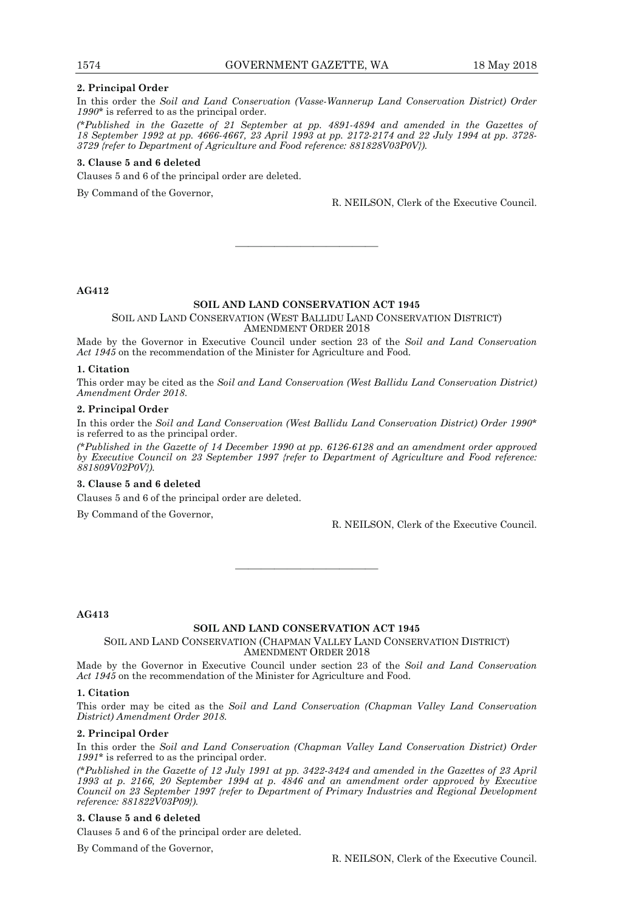#### **2. Principal Order**

In this order the *Soil and Land Conservation (Vasse-Wannerup Land Conservation District) Order 1990\** is referred to as the principal order.

*(\*Published in the Gazette of 21 September at pp. 4891-4894 and amended in the Gazettes of 18 September 1992 at pp. 4666-4667, 23 April 1993 at pp. 2172-2174 and 22 July 1994 at pp. 3728- 3729 {refer to Department of Agriculture and Food reference: 881828V03P0V}).* 

#### **3. Clause 5 and 6 deleted**

Clauses 5 and 6 of the principal order are deleted.

By Command of the Governor,

R. NEILSON, Clerk of the Executive Council.

**AG412** 

### **SOIL AND LAND CONSERVATION ACT 1945**

SOIL AND LAND CONSERVATION (WEST BALLIDU LAND CONSERVATION DISTRICT) AMENDMENT ORDER 2018

———————————

Made by the Governor in Executive Council under section 23 of the *Soil and Land Conservation Act 1945* on the recommendation of the Minister for Agriculture and Food.

#### **1. Citation**

This order may be cited as the *Soil and Land Conservation (West Ballidu Land Conservation District) Amendment Order 2018*.

#### **2. Principal Order**

In this order the *Soil and Land Conservation (West Ballidu Land Conservation District) Order 1990\**  is referred to as the principal order.

*(\*Published in the Gazette of 14 December 1990 at pp. 6126-6128 and an amendment order approved by Executive Council on 23 September 1997 {refer to Department of Agriculture and Food reference: 881809V02P0V}).* 

#### **3. Clause 5 and 6 deleted**

Clauses 5 and 6 of the principal order are deleted.

By Command of the Governor,

R. NEILSON, Clerk of the Executive Council.

**AG413** 

#### **SOIL AND LAND CONSERVATION ACT 1945**

———————————

SOIL AND LAND CONSERVATION (CHAPMAN VALLEY LAND CONSERVATION DISTRICT) AMENDMENT ORDER 2018

Made by the Governor in Executive Council under section 23 of the *Soil and Land Conservation Act 1945* on the recommendation of the Minister for Agriculture and Food.

#### **1. Citation**

This order may be cited as the *Soil and Land Conservation (Chapman Valley Land Conservation District) Amendment Order 2018.*

#### **2. Principal Order**

In this order the *Soil and Land Conservation (Chapman Valley Land Conservation District) Order 1991\** is referred to as the principal order.

*(\*Published in the Gazette of 12 July 1991 at pp. 3422-3424 and amended in the Gazettes of 23 April 1993 at p. 2166, 20 September 1994 at p. 4846 and an amendment order approved by Executive Council on 23 September 1997 {refer to Department of Primary Industries and Regional Development reference: 881822V03P09}).* 

#### **3. Clause 5 and 6 deleted**

Clauses 5 and 6 of the principal order are deleted.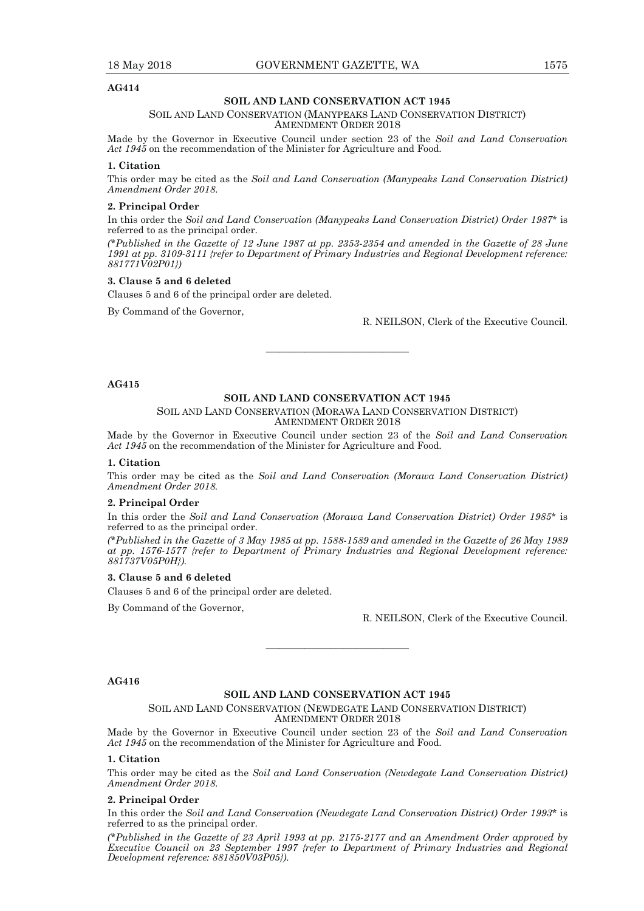#### **SOIL AND LAND CONSERVATION ACT 1945**

#### SOIL AND LAND CONSERVATION (MANYPEAKS LAND CONSERVATION DISTRICT) AMENDMENT ORDER 2018

Made by the Governor in Executive Council under section 23 of the *Soil and Land Conservation Act 1945* on the recommendation of the Minister for Agriculture and Food.

#### **1. Citation**

This order may be cited as the *Soil and Land Conservation (Manypeaks Land Conservation District) Amendment Order 2018*.

#### **2. Principal Order**

In this order the *Soil and Land Conservation (Manypeaks Land Conservation District) Order 1987*\* is referred to as the principal order.

*(\*Published in the Gazette of 12 June 1987 at pp. 2353-2354 and amended in the Gazette of 28 June 1991 at pp. 3109-3111 {refer to Department of Primary Industries and Regional Development reference: 881771V02P01})* 

#### **3. Clause 5 and 6 deleted**

Clauses 5 and 6 of the principal order are deleted.

By Command of the Governor,

R. NEILSON, Clerk of the Executive Council.

#### **AG415**

#### **SOIL AND LAND CONSERVATION ACT 1945**

———————————

#### SOIL AND LAND CONSERVATION (MORAWA LAND CONSERVATION DISTRICT) AMENDMENT ORDER 2018

Made by the Governor in Executive Council under section 23 of the *Soil and Land Conservation Act 1945* on the recommendation of the Minister for Agriculture and Food.

#### **1. Citation**

This order may be cited as the *Soil and Land Conservation (Morawa Land Conservation District) Amendment Order 2018.*

#### **2. Principal Order**

In this order the *Soil and Land Conservation (Morawa Land Conservation District) Order 1985*\* is referred to as the principal order.

*(\*Published in the Gazette of 3 May 1985 at pp. 1588-1589 and amended in the Gazette of 26 May 1989 at pp. 1576-1577 {refer to Department of Primary Industries and Regional Development reference: 881737V05P0H}).* 

#### **3. Clause 5 and 6 deleted**

Clauses 5 and 6 of the principal order are deleted.

By Command of the Governor,

R. NEILSON, Clerk of the Executive Council.

#### **AG416**

#### **SOIL AND LAND CONSERVATION ACT 1945**

———————————

SOIL AND LAND CONSERVATION (NEWDEGATE LAND CONSERVATION DISTRICT) AMENDMENT ORDER 2018

Made by the Governor in Executive Council under section 23 of the *Soil and Land Conservation Act 1945* on the recommendation of the Minister for Agriculture and Food.

#### **1. Citation**

This order may be cited as the *Soil and Land Conservation (Newdegate Land Conservation District) Amendment Order 2018*.

#### **2. Principal Order**

In this order the *Soil and Land Conservation (Newdegate Land Conservation District) Order 1993*\* is referred to as the principal order.

*(\*Published in the Gazette of 23 April 1993 at pp. 2175-2177 and an Amendment Order approved by Executive Council on 23 September 1997 {refer to Department of Primary Industries and Regional Development reference: 881850V03P05}).*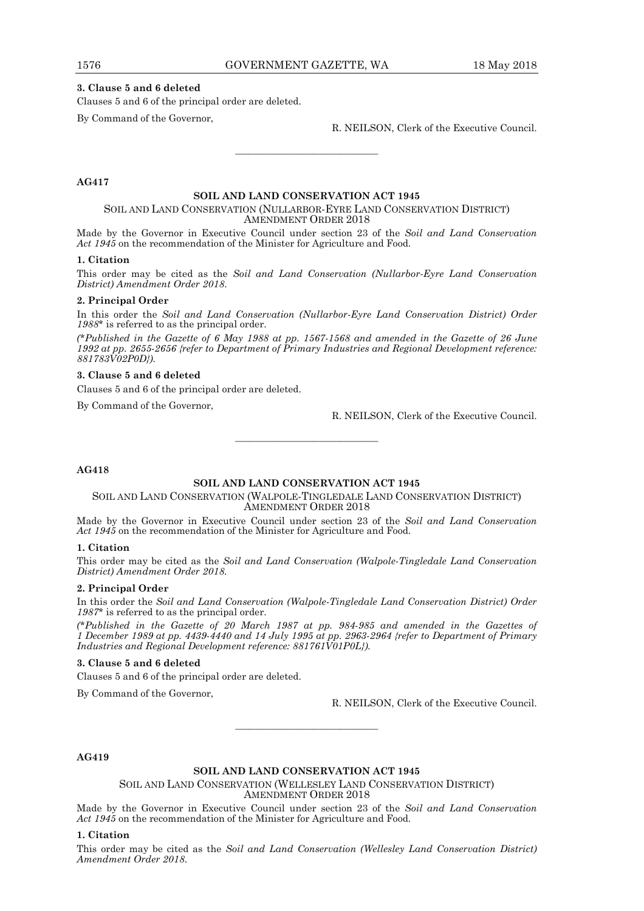#### **3. Clause 5 and 6 deleted**

Clauses 5 and 6 of the principal order are deleted.

By Command of the Governor,

R. NEILSON, Clerk of the Executive Council.

#### **AG417**

#### **SOIL AND LAND CONSERVATION ACT 1945**

———————————

#### SOIL AND LAND CONSERVATION (NULLARBOR-EYRE LAND CONSERVATION DISTRICT) AMENDMENT ORDER 2018

Made by the Governor in Executive Council under section 23 of the *Soil and Land Conservation Act 1945* on the recommendation of the Minister for Agriculture and Food.

#### **1. Citation**

This order may be cited as the *Soil and Land Conservation (Nullarbor-Eyre Land Conservation District) Amendment Order 2018*.

#### **2. Principal Order**

In this order the *Soil and Land Conservation (Nullarbor-Eyre Land Conservation District) Order 1988*\* is referred to as the principal order.

*(\*Published in the Gazette of 6 May 1988 at pp. 1567-1568 and amended in the Gazette of 26 June 1992 at pp. 2655-2656 {refer to Department of Primary Industries and Regional Development reference: 881783V02P0D}).* 

#### **3. Clause 5 and 6 deleted**

Clauses 5 and 6 of the principal order are deleted.

By Command of the Governor,

R. NEILSON, Clerk of the Executive Council.

#### **AG418**

#### **SOIL AND LAND CONSERVATION ACT 1945**

———————————

#### SOIL AND LAND CONSERVATION (WALPOLE-TINGLEDALE LAND CONSERVATION DISTRICT) AMENDMENT ORDER 2018

Made by the Governor in Executive Council under section 23 of the *Soil and Land Conservation Act 1945* on the recommendation of the Minister for Agriculture and Food.

#### **1. Citation**

This order may be cited as the *Soil and Land Conservation (Walpole-Tingledale Land Conservation District) Amendment Order 2018.*

#### **2. Principal Order**

In this order the *Soil and Land Conservation (Walpole-Tingledale Land Conservation District) Order 1987*\* is referred to as the principal order.

*(\*Published in the Gazette of 20 March 1987 at pp. 984-985 and amended in the Gazettes of 1 December 1989 at pp. 4439-4440 and 14 July 1995 at pp. 2963-2964 {refer to Department of Primary Industries and Regional Development reference: 881761V01P0L}).* 

#### **3. Clause 5 and 6 deleted**

Clauses 5 and 6 of the principal order are deleted.

By Command of the Governor,

R. NEILSON, Clerk of the Executive Council.

**AG419** 

#### **SOIL AND LAND CONSERVATION ACT 1945**

———————————

SOIL AND LAND CONSERVATION (WELLESLEY LAND CONSERVATION DISTRICT) AMENDMENT ORDER 2018

Made by the Governor in Executive Council under section 23 of the *Soil and Land Conservation Act 1945* on the recommendation of the Minister for Agriculture and Food.

#### **1. Citation**

This order may be cited as the *Soil and Land Conservation (Wellesley Land Conservation District) Amendment Order 2018*.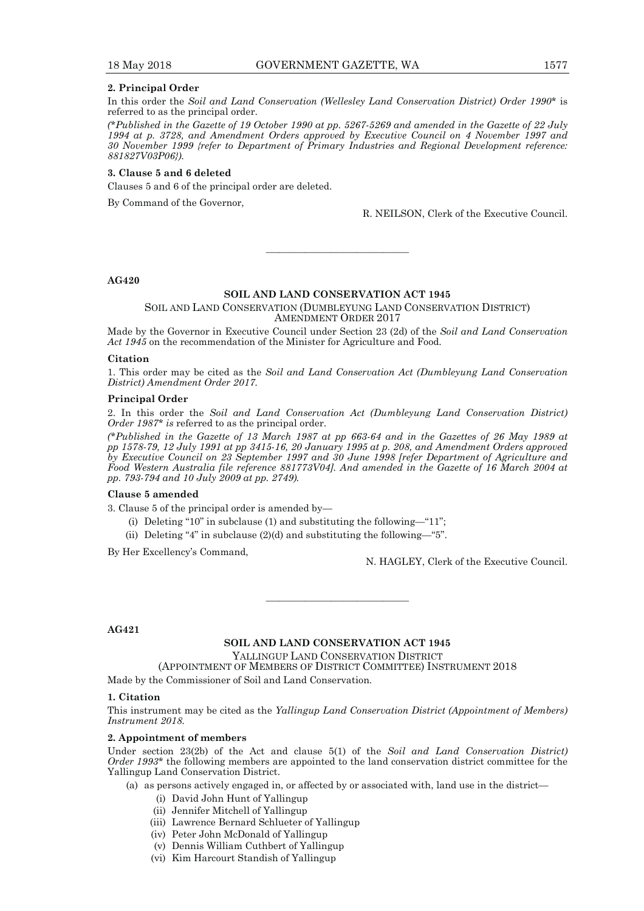#### **2. Principal Order**

In this order the *Soil and Land Conservation (Wellesley Land Conservation District) Order 1990*\* is referred to as the principal order.

*(\*Published in the Gazette of 19 October 1990 at pp. 5267-5269 and amended in the Gazette of 22 July 1994 at p. 3728, and Amendment Orders approved by Executive Council on 4 November 1997 and 30 November 1999 {refer to Department of Primary Industries and Regional Development reference: 881827V03P06}).* 

#### **3. Clause 5 and 6 deleted**

Clauses 5 and 6 of the principal order are deleted.

By Command of the Governor,

R. NEILSON, Clerk of the Executive Council.

#### **AG420**

#### **SOIL AND LAND CONSERVATION ACT 1945**

———————————

SOIL AND LAND CONSERVATION (DUMBLEYUNG LAND CONSERVATION DISTRICT) AMENDMENT ORDER 2017

Made by the Governor in Executive Council under Section 23 (2d) of the *Soil and Land Conservation Act 1945* on the recommendation of the Minister for Agriculture and Food.

#### **Citation**

1. This order may be cited as the *Soil and Land Conservation Act (Dumbleyung Land Conservation District) Amendment Order 2017.*

#### **Principal Order**

2. In this order the *Soil and Land Conservation Act (Dumbleyung Land Conservation District) Order 1987\* is* referred to as the principal order.

*(\*Published in the Gazette of 13 March 1987 at pp 663-64 and in the Gazettes of 26 May 1989 at pp 1578-79, 12 July 1991 at pp 3415-16, 20 January 1995 at p. 208, and Amendment Orders approved by Executive Council on 23 September 1997 and 30 June 1998 [refer Department of Agriculture and Food Western Australia file reference 881773V04]. And amended in the Gazette of 16 March 2004 at pp. 793-794 and 10 July 2009 at pp. 2749).* 

#### **Clause 5 amended**

3. Clause 5 of the principal order is amended by—

- (i) Deleting "10" in subclause (1) and substituting the following—"11";
- (ii) Deleting "4" in subclause  $(2)(d)$  and substituting the following—"5".

By Her Excellency's Command,

N. HAGLEY, Clerk of the Executive Council.

#### **AG421**

#### **SOIL AND LAND CONSERVATION ACT 1945**

YALLINGUP LAND CONSERVATION DISTRICT

———————————

(APPOINTMENT OF MEMBERS OF DISTRICT COMMITTEE) INSTRUMENT 2018

Made by the Commissioner of Soil and Land Conservation.

#### **1. Citation**

This instrument may be cited as the *Yallingup Land Conservation District (Appointment of Members) Instrument 2018.* 

#### **2. Appointment of members**

Under section 23(2b) of the Act and clause 5(1) of the *Soil and Land Conservation District) Order 1993\** the following members are appointed to the land conservation district committee for the Yallingup Land Conservation District.

(a) as persons actively engaged in, or affected by or associated with, land use in the district—

- (i) David John Hunt of Yallingup
- (ii) Jennifer Mitchell of Yallingup
- (iii) Lawrence Bernard Schlueter of Yallingup
- (iv) Peter John McDonald of Yallingup
- (v) Dennis William Cuthbert of Yallingup
- (vi) Kim Harcourt Standish of Yallingup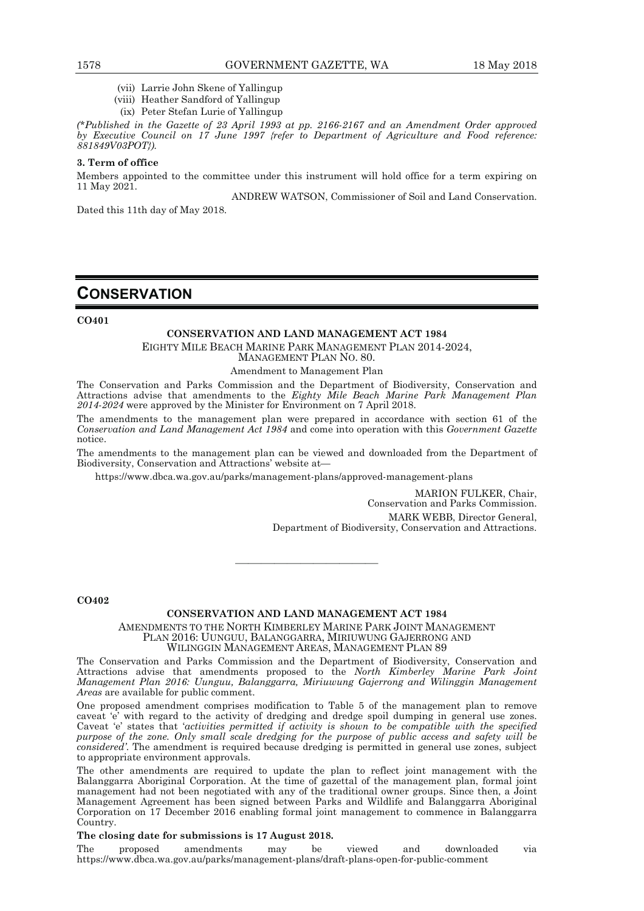- (vii) Larrie John Skene of Yallingup
- (viii) Heather Sandford of Yallingup
- (ix) Peter Stefan Lurie of Yallingup

*(\*Published in the Gazette of 23 April 1993 at pp. 2166-2167 and an Amendment Order approved by Executive Council on 17 June 1997 {refer to Department of Agriculture and Food reference: 881849V03POT}).*

#### **3. Term of office**

Members appointed to the committee under this instrument will hold office for a term expiring on 11 May 2021.

ANDREW WATSON, Commissioner of Soil and Land Conservation.

Dated this 11th day of May 2018.

# **CONSERVATION**

**CO401** 

### **CONSERVATION AND LAND MANAGEMENT ACT 1984**

EIGHTY MILE BEACH MARINE PARK MANAGEMENT PLAN 2014-2024,

MANAGEMENT PLAN NO. 80.

#### Amendment to Management Plan

The Conservation and Parks Commission and the Department of Biodiversity, Conservation and Attractions advise that amendments to the *Eighty Mile Beach Marine Park Management Plan 2014-2024* were approved by the Minister for Environment on 7 April 2018.

The amendments to the management plan were prepared in accordance with section 61 of the *Conservation and Land Management Act 1984* and come into operation with this *Government Gazette* notice.

The amendments to the management plan can be viewed and downloaded from the Department of Biodiversity, Conservation and Attractions' website at—

https://www.dbca.wa.gov.au/parks/management-plans/approved-management-plans

MARION FULKER, Chair, Conservation and Parks Commission. MARK WEBB, Director General, Department of Biodiversity, Conservation and Attractions.

**CO402** 

### **CONSERVATION AND LAND MANAGEMENT ACT 1984**

AMENDMENTS TO THE NORTH KIMBERLEY MARINE PARK JOINT MANAGEMENT PLAN 2016: UUNGUU, BALANGGARRA, MIRIUWUNG GAJERRONG AND WILINGGIN MANAGEMENT AREAS, MANAGEMENT PLAN 89

———————————

The Conservation and Parks Commission and the Department of Biodiversity, Conservation and Attractions advise that amendments proposed to the *North Kimberley Marine Park Joint Management Plan 2016: Uunguu, Balanggarra, Miriuwung Gajerrong and Wilinggin Management Areas* are available for public comment.

One proposed amendment comprises modification to Table 5 of the management plan to remove caveat 'e' with regard to the activity of dredging and dredge spoil dumping in general use zones. Caveat 'e' states that '*activities permitted if activity is shown to be compatible with the specified purpose of the zone. Only small scale dredging for the purpose of public access and safety will be considered'*. The amendment is required because dredging is permitted in general use zones, subject to appropriate environment approvals.

The other amendments are required to update the plan to reflect joint management with the Balanggarra Aboriginal Corporation. At the time of gazettal of the management plan, formal joint management had not been negotiated with any of the traditional owner groups. Since then, a Joint Management Agreement has been signed between Parks and Wildlife and Balanggarra Aboriginal Corporation on 17 December 2016 enabling formal joint management to commence in Balanggarra Country.

#### **The closing date for submissions is 17 August 2018.**

The proposed amendments may be viewed and downloaded via https://www.dbca.wa.gov.au/parks/management-plans/draft-plans-open-for-public-comment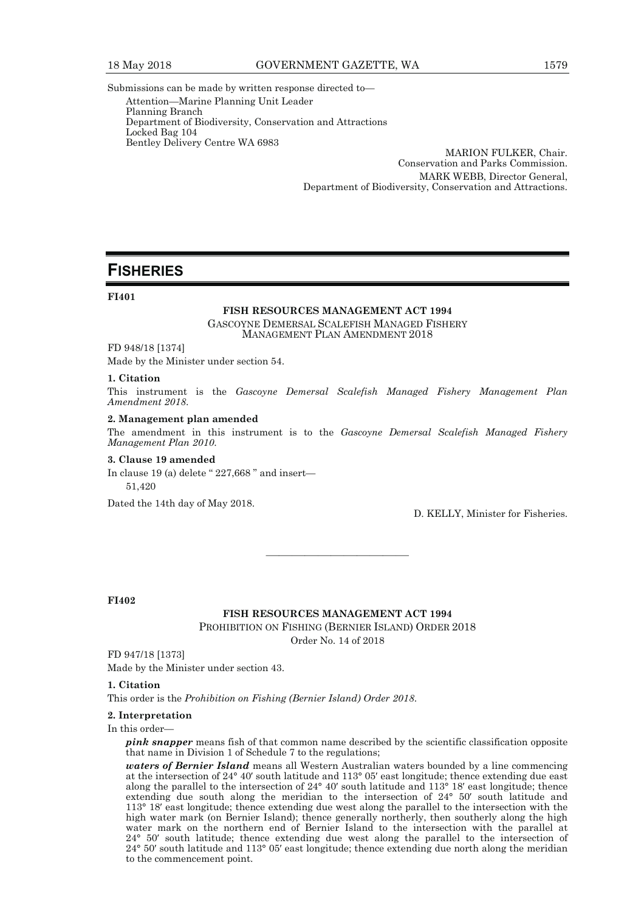Submissions can be made by written response directed to— Attention—Marine Planning Unit Leader Planning Branch Department of Biodiversity, Conservation and Attractions Locked Bag 104 Bentley Delivery Centre WA 6983

MARION FULKER, Chair. Conservation and Parks Commission. MARK WEBB, Director General, Department of Biodiversity, Conservation and Attractions.

# **FISHERIES**

#### **FI401**

#### **FISH RESOURCES MANAGEMENT ACT 1994**

GASCOYNE DEMERSAL SCALEFISH MANAGED FISHERY MANAGEMENT PLAN AMENDMENT 2018

FD 948/18 [1374]

Made by the Minister under section 54.

#### **1. Citation**

This instrument is the *Gascoyne Demersal Scalefish Managed Fishery Management Plan Amendment 2018*.

#### **2. Management plan amended**

The amendment in this instrument is to the *Gascoyne Demersal Scalefish Managed Fishery Management Plan 2010*.

#### **3. Clause 19 amended**

In clause 19 (a) delete " 227,668 " and insert— 51,420

Dated the 14th day of May 2018.

D. KELLY, Minister for Fisheries.

**FI402** 

#### **FISH RESOURCES MANAGEMENT ACT 1994**

———————————

PROHIBITION ON FISHING (BERNIER ISLAND) ORDER 2018 Order No. 14 of 2018

FD 947/18 [1373] Made by the Minister under section 43.

#### **1. Citation**

This order is the *Prohibition on Fishing (Bernier Island) Order 2018*.

#### **2. Interpretation**

In this order-

*pink snapper* means fish of that common name described by the scientific classification opposite that name in Division 1 of Schedule 7 to the regulations;

*waters of Bernier Island* means all Western Australian waters bounded by a line commencing at the intersection of 24° 40′ south latitude and 113° 05′ east longitude; thence extending due east along the parallel to the intersection of 24° 40′ south latitude and 113° 18′ east longitude; thence extending due south along the meridian to the intersection of 24° 50′ south latitude and 113° 18′ east longitude; thence extending due west along the parallel to the intersection with the high water mark (on Bernier Island); thence generally northerly, then southerly along the high water mark on the northern end of Bernier Island to the intersection with the parallel at 24° 50′ south latitude; thence extending due west along the parallel to the intersection of 24° 50′ south latitude and 113° 05′ east longitude; thence extending due north along the meridian to the commencement point.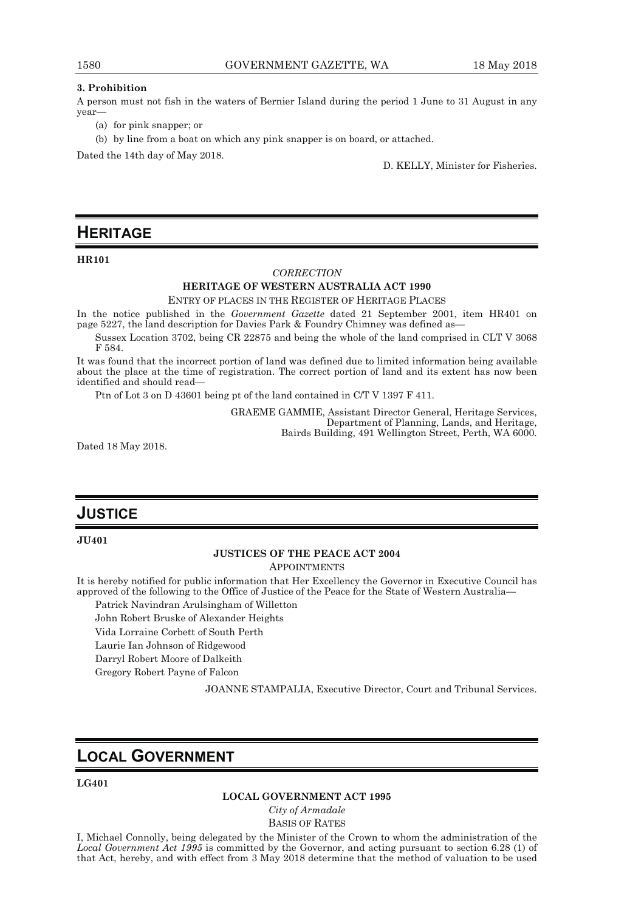#### **3. Prohibition**

A person must not fish in the waters of Bernier Island during the period 1 June to 31 August in any year—

- (a) for pink snapper; or
- (b) by line from a boat on which any pink snapper is on board, or attached.

Dated the 14th day of May 2018.

D. KELLY, Minister for Fisheries.

# **HERITAGE**

#### **HR101**

#### *CORRECTION*

#### **HERITAGE OF WESTERN AUSTRALIA ACT 1990**  ENTRY OF PLACES IN THE REGISTER OF HERITAGE PLACES

In the notice published in the *Government Gazette* dated 21 September 2001, item HR401 on page 5227, the land description for Davies Park & Foundry Chimney was defined as—

Sussex Location 3702, being CR 22875 and being the whole of the land comprised in CLT V 3068 F 584.

It was found that the incorrect portion of land was defined due to limited information being available about the place at the time of registration. The correct portion of land and its extent has now been identified and should read—

Ptn of Lot 3 on D 43601 being pt of the land contained in C/T V 1397 F 411.

GRAEME GAMMIE, Assistant Director General, Heritage Services, Department of Planning, Lands, and Heritage, Bairds Building, 491 Wellington Street, Perth, WA 6000.

Dated 18 May 2018.

# **JUSTICE**

#### **JU401**

#### **JUSTICES OF THE PEACE ACT 2004**

APPOINTMENTS

It is hereby notified for public information that Her Excellency the Governor in Executive Council has approved of the following to the Office of Justice of the Peace for the State of Western Australia—

Patrick Navindran Arulsingham of Willetton

John Robert Bruske of Alexander Heights

Vida Lorraine Corbett of South Perth

Laurie Ian Johnson of Ridgewood

Darryl Robert Moore of Dalkeith

Gregory Robert Payne of Falcon

JOANNE STAMPALIA, Executive Director, Court and Tribunal Services.

# **LOCAL GOVERNMENT**

#### **LG401**

#### **LOCAL GOVERNMENT ACT 1995**

*City of Armadale*  BASIS OF RATES

I, Michael Connolly, being delegated by the Minister of the Crown to whom the administration of the *Local Government Act 1995* is committed by the Governor, and acting pursuant to section 6.28 (1) of that Act, hereby, and with effect from 3 May 2018 determine that the method of valuation to be used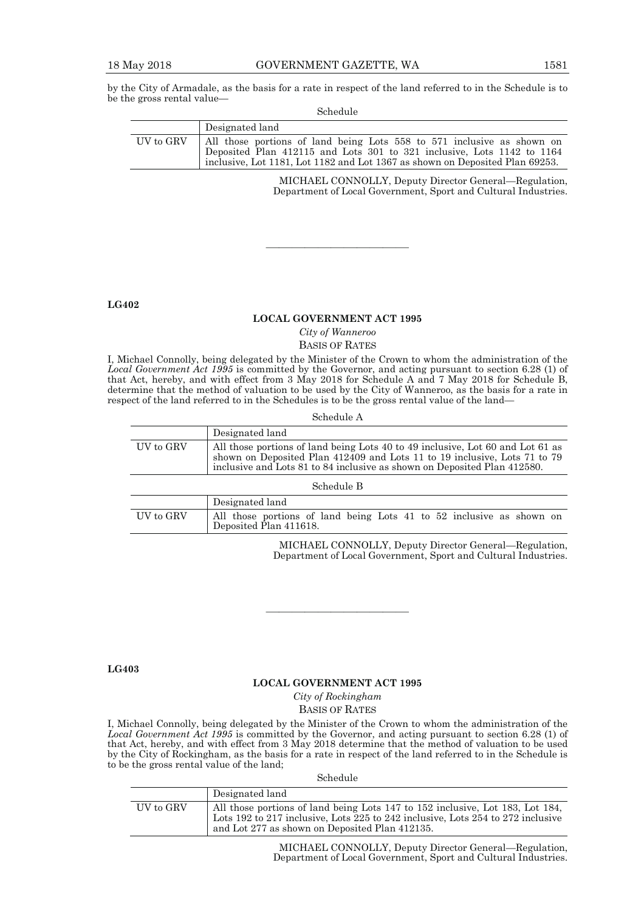by the City of Armadale, as the basis for a rate in respect of the land referred to in the Schedule is to be the gross rental value—

#### Schedule

|           | Designated land                                                                                                                                                                                                                  |
|-----------|----------------------------------------------------------------------------------------------------------------------------------------------------------------------------------------------------------------------------------|
| UV to GRV | All those portions of land being Lots 558 to 571 inclusive as shown on<br>Deposited Plan 412115 and Lots 301 to 321 inclusive, Lots 1142 to 1164<br>inclusive, Lot 1181, Lot 1182 and Lot 1367 as shown on Deposited Plan 69253. |

MICHAEL CONNOLLY, Deputy Director General—Regulation, Department of Local Government, Sport and Cultural Industries.

**LG402** 

#### **LOCAL GOVERNMENT ACT 1995**

———————————

# *City of Wanneroo*

BASIS OF RATES

I, Michael Connolly, being delegated by the Minister of the Crown to whom the administration of the *Local Government Act 1995* is committed by the Governor, and acting pursuant to section 6.28 (1) of that Act, hereby, and with effect from 3 May 2018 for Schedule A and 7 May 2018 for Schedule B, determine that the method of valuation to be used by the City of Wanneroo, as the basis for a rate in respect of the land referred to in the Schedules is to be the gross rental value of the land—

Schedule A

|           | Designated land                                                                                                                                                                                                                         |
|-----------|-----------------------------------------------------------------------------------------------------------------------------------------------------------------------------------------------------------------------------------------|
| UV to GRV | All those portions of land being Lots 40 to 49 inclusive, Lot 60 and Lot 61 as<br>shown on Deposited Plan 412409 and Lots 11 to 19 inclusive, Lots 71 to 79<br>inclusive and Lots 81 to 84 inclusive as shown on Deposited Plan 412580. |

Schedule B

|           | Designated land                                                                                |
|-----------|------------------------------------------------------------------------------------------------|
| UV to GRV | All those portions of land being Lots 41 to 52 inclusive as shown on<br>Deposited Plan 411618. |

MICHAEL CONNOLLY, Deputy Director General—Regulation, Department of Local Government, Sport and Cultural Industries.

**LG403** 

#### **LOCAL GOVERNMENT ACT 1995**

———————————

*City of Rockingham*  BASIS OF RATES

I, Michael Connolly, being delegated by the Minister of the Crown to whom the administration of the *Local Government Act 1995* is committed by the Governor, and acting pursuant to section 6.28 (1) of that Act, hereby, and with effect from 3 May 2018 determine that the method of valuation to be used by the City of Rockingham, as the basis for a rate in respect of the land referred to in the Schedule is to be the gross rental value of the land;

Schedule

|           | Designated land                                                                                                                                                                                                    |
|-----------|--------------------------------------------------------------------------------------------------------------------------------------------------------------------------------------------------------------------|
| UV to GRV | All those portions of land being Lots 147 to 152 inclusive, Lot 183, Lot 184,<br>Lots 192 to 217 inclusive, Lots 225 to 242 inclusive, Lots 254 to 272 inclusive<br>and Lot 277 as shown on Deposited Plan 412135. |

MICHAEL CONNOLLY, Deputy Director General—Regulation, Department of Local Government, Sport and Cultural Industries.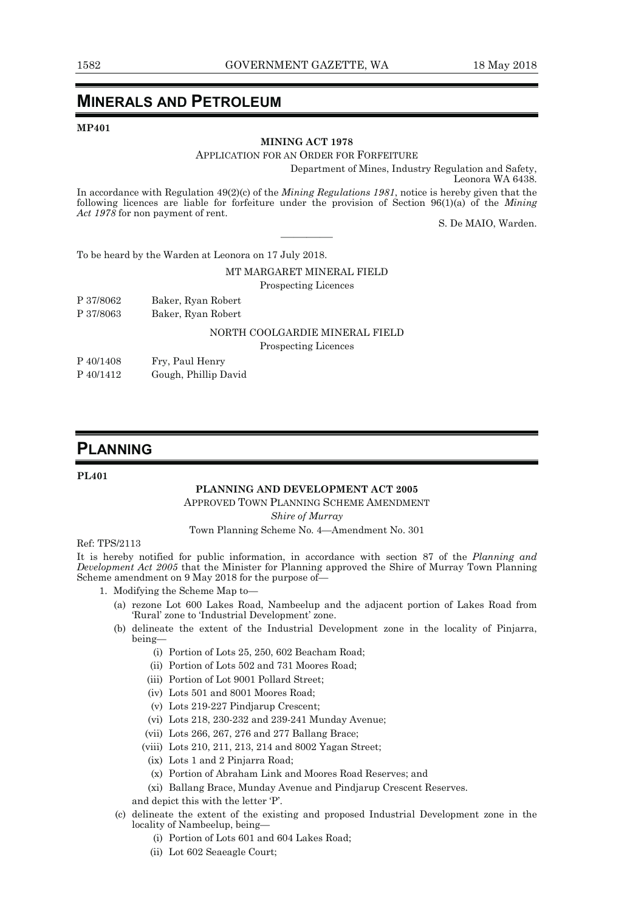# **MINERALS AND PETROLEUM**

#### **MP401**

#### **MINING ACT 1978**

#### APPLICATION FOR AN ORDER FOR FORFEITURE

Department of Mines, Industry Regulation and Safety, Leonora WA 6438.

In accordance with Regulation 49(2)(c) of the *Mining Regulations 1981*, notice is hereby given that the following licences are liable for forfeiture under the provision of Section 96(1)(a) of the *Mining Act 1978* for non payment of rent.

————

S. De MAIO, Warden.

To be heard by the Warden at Leonora on 17 July 2018.

#### MT MARGARET MINERAL FIELD

Prospecting Licences

| P 37/8062 | Baker, Ryan Robert |
|-----------|--------------------|
| P 37/8063 | Baker, Ryan Robert |

## NORTH COOLGARDIE MINERAL FIELD

Prospecting Licences

- P 40/1408 Fry, Paul Henry
- P 40/1412 Gough, Phillip David

# **PLANNING**

#### **PL401**

#### **PLANNING AND DEVELOPMENT ACT 2005**

APPROVED TOWN PLANNING SCHEME AMENDMENT

#### *Shire of Murray*

#### Town Planning Scheme No. 4—Amendment No. 301

#### Ref: TPS/2113

It is hereby notified for public information, in accordance with section 87 of the *Planning and Development Act 2005* that the Minister for Planning approved the Shire of Murray Town Planning Scheme amendment on 9 May 2018 for the purpose of—

- 1. Modifying the Scheme Map to—
	- (a) rezone Lot 600 Lakes Road, Nambeelup and the adjacent portion of Lakes Road from 'Rural' zone to 'Industrial Development' zone.
	- (b) delineate the extent of the Industrial Development zone in the locality of Pinjarra, being—
		- (i) Portion of Lots 25, 250, 602 Beacham Road;
		- (ii) Portion of Lots 502 and 731 Moores Road;
		- (iii) Portion of Lot 9001 Pollard Street;
		- (iv) Lots 501 and 8001 Moores Road;
		- (v) Lots 219-227 Pindjarup Crescent;
		- (vi) Lots 218, 230-232 and 239-241 Munday Avenue;
		- (vii) Lots 266, 267, 276 and 277 Ballang Brace;
		- (viii) Lots 210, 211, 213, 214 and 8002 Yagan Street;
		- (ix) Lots 1 and 2 Pinjarra Road;
		- (x) Portion of Abraham Link and Moores Road Reserves; and
		- (xi) Ballang Brace, Munday Avenue and Pindjarup Crescent Reserves.
		- and depict this with the letter 'P'.
	- (c) delineate the extent of the existing and proposed Industrial Development zone in the locality of Nambeelup, being—
		- (i) Portion of Lots 601 and 604 Lakes Road;
		- (ii) Lot 602 Seaeagle Court;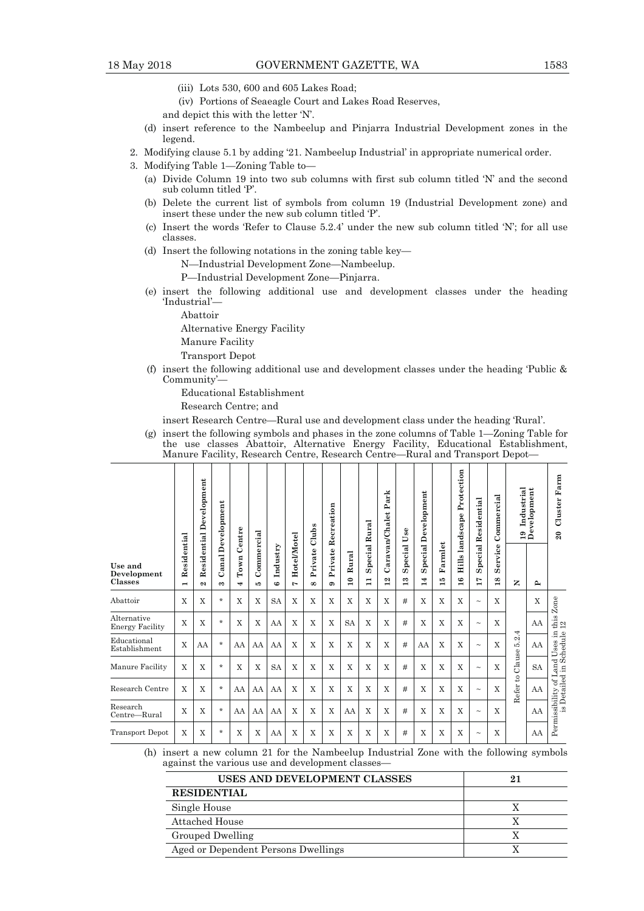- (iii) Lots 530, 600 and 605 Lakes Road;
- (iv) Portions of Seaeagle Court and Lakes Road Reserves,
- and depict this with the letter 'N'.
- (d) insert reference to the Nambeelup and Pinjarra Industrial Development zones in the legend.
- 2. Modifying clause 5.1 by adding '21. Nambeelup Industrial' in appropriate numerical order.
- 3. Modifying Table 1—Zoning Table to—
	- (a) Divide Column 19 into two sub columns with first sub column titled 'N' and the second sub column titled 'P'.
	- (b) Delete the current list of symbols from column 19 (Industrial Development zone) and insert these under the new sub column titled 'P'.
	- (c) Insert the words 'Refer to Clause 5.2.4' under the new sub column titled 'N'; for all use classes.
	- (d) Insert the following notations in the zoning table key—

N—Industrial Development Zone—Nambeelup.

- P—Industrial Development Zone—Pinjarra.
- (e) insert the following additional use and development classes under the heading 'Industrial'—
	- Abattoir

Alternative Energy Facility

- Manure Facility
- Transport Depot
- (f) insert the following additional use and development classes under the heading 'Public & Community'—

Educational Establishment Research Centre; and

insert Research Centre—Rural use and development class under the heading 'Rural'.

 (g) insert the following symbols and phases in the zone columns of Table 1—Zoning Table for the use classes Abattoir, Alternative Energy Facility, Educational Establishment, Manure Facility, Research Centre, Research Centre—Rural and Transport Depot—

|                                       |                               | Development      | <b>Canal Development</b> | Centre                                       |                   |                |                             | Clubs               | Recreation           |                         | rk<br>ದ<br>≏<br>Caravan/Chalet<br>Rural |                          |                          |                          |                   |                        | $_{\rm Use}$               |               |                                      |              |                               |  | Development |  |  | Protection<br>landscape | Residential | Commercial | Industrial<br>$\overline{19}$ | Development | Farm<br>Cluster<br>$\boldsymbol{\mathsf{20}}$ |
|---------------------------------------|-------------------------------|------------------|--------------------------|----------------------------------------------|-------------------|----------------|-----------------------------|---------------------|----------------------|-------------------------|-----------------------------------------|--------------------------|--------------------------|--------------------------|-------------------|------------------------|----------------------------|---------------|--------------------------------------|--------------|-------------------------------|--|-------------|--|--|-------------------------|-------------|------------|-------------------------------|-------------|-----------------------------------------------|
| Use and<br>Development<br>Classes     | Residential<br>$\blacksquare$ | Residential<br>N | $\infty$                 | T <sub>own</sub><br>$\overline{\phantom{a}}$ | Commercial<br>ъp. | Industry<br>co | Hotel/Motel<br>$\mathbf{r}$ | Private<br>$\infty$ | Private<br>$\bullet$ | Rural<br>$\bullet$<br>亩 | Special<br>$\mathbf{I}$                 | $\sim$<br>$\overline{ }$ | Special<br>$\infty$<br>H | Special<br>Þ<br>$\dot{}$ | Farmlet<br>ю<br>÷ | Hills<br>$\frac{6}{1}$ | Special<br>$\overline{11}$ | Service<br>18 | z                                    | $\mathbf{r}$ |                               |  |             |  |  |                         |             |            |                               |             |                                               |
| Abattoir                              | $\mathbf x$                   | X                | $\star$                  | X                                            | X                 | <b>SA</b>      | X                           | $\mathbf x$         | X                    | $\mathbf x$             | X                                       | X                        | #                        | X                        | X                 | X                      | $\sim$                     | X             |                                      | $\mathbf x$  | Zone                          |  |             |  |  |                         |             |            |                               |             |                                               |
| Alternative<br><b>Energy Facility</b> | X                             | X                | $\star$                  | X                                            | X                 | AA             | X                           | X                   | X                    | <b>SA</b>               | X                                       | X                        | #                        | X                        | X                 | X                      | $\thicksim$                | X             |                                      | AA           | this<br>$12$                  |  |             |  |  |                         |             |            |                               |             |                                               |
| Educational<br>Establishment          | X                             | AA               | $\star$                  | AA                                           | AA                | AA             | X                           | X                   | X                    | X                       | X                                       | X                        | #                        | AA                       | X                 | X                      | $\sim$                     | X             | 4.<br>$\mathbf{a}$<br>ນວ່            | AA           | Land Uses in<br>d in Schedule |  |             |  |  |                         |             |            |                               |             |                                               |
| Manure Facility                       | X                             | X                | $\star$                  | X                                            | X                 | <b>SA</b>      | X                           | X                   | X                    | X                       | X                                       | X                        | #                        | X                        | X                 | X                      | $\thicksim$                | X             | Clause                               | <b>SA</b>    |                               |  |             |  |  |                         |             |            |                               |             |                                               |
| Research Centre                       | X                             | X                | $\star$                  | AA                                           | AA                | AA             | X                           | X                   | X                    | X                       | X                                       | X                        | #                        | X                        | X                 | X                      | $\tilde{\phantom{a}}$      | X             | $\mathfrak{S}$<br>Refer <sub>1</sub> | AA           | is Detailed in<br>ಕ           |  |             |  |  |                         |             |            |                               |             |                                               |
| Research<br>Centre-Rural              | X                             | X                | $\star$                  | AA                                           | AA                | AA             | X                           | X                   | X                    | AA                      | X                                       | X                        | #                        | X                        | X                 | X                      | $\sim$                     | X             |                                      | AA           | Permissibility                |  |             |  |  |                         |             |            |                               |             |                                               |
| <b>Transport Depot</b>                | X                             | X                | $\star$                  | X                                            | X                 | AA             | X                           | X                   | X                    | X                       | X                                       | X                        | #                        | X                        | X                 | X                      | $\tilde{\phantom{a}}$      | X             |                                      | AA           |                               |  |             |  |  |                         |             |            |                               |             |                                               |

 (h) insert a new column 21 for the Nambeelup Industrial Zone with the following symbols against the various use and development classes—

| USES AND DEVELOPMENT CLASSES        |  |
|-------------------------------------|--|
| <b>RESIDENTIAL</b>                  |  |
| Single House                        |  |
| Attached House                      |  |
| Grouped Dwelling                    |  |
| Aged or Dependent Persons Dwellings |  |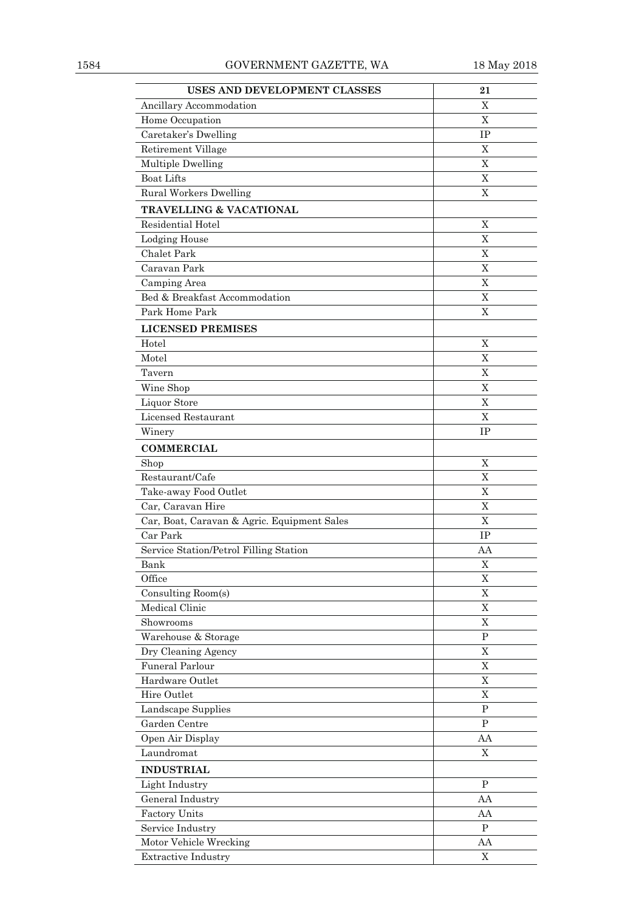| USES AND DEVELOPMENT CLASSES                | 21             |
|---------------------------------------------|----------------|
| Ancillary Accommodation                     | Χ              |
| Home Occupation                             | $\mathbf X$    |
| Caretaker's Dwelling                        | IΡ             |
| Retirement Village                          | X              |
| Multiple Dwelling                           | X              |
| <b>Boat Lifts</b>                           | X              |
| Rural Workers Dwelling                      | X              |
| <b>TRAVELLING &amp; VACATIONAL</b>          |                |
| Residential Hotel                           | X              |
| <b>Lodging House</b>                        | X              |
| <b>Chalet Park</b>                          | $\overline{X}$ |
| Caravan Park                                | X              |
| Camping Area                                | X              |
| Bed & Breakfast Accommodation               | X              |
| Park Home Park                              | X              |
| <b>LICENSED PREMISES</b>                    |                |
| Hotel                                       | X              |
| Motel                                       | X              |
| Tavern                                      | X              |
| Wine Shop                                   | $\overline{X}$ |
| Liquor Store                                | X              |
| Licensed Restaurant                         | X              |
| Winery                                      | IP             |
| <b>COMMERCIAL</b>                           |                |
| Shop                                        | X              |
| Restaurant/Cafe                             | X              |
| Take-away Food Outlet                       | $\overline{X}$ |
| Car, Caravan Hire                           | X              |
| Car, Boat, Caravan & Agric. Equipment Sales | X              |
| Car Park                                    | IP             |
| Service Station/Petrol Filling Station      | AA             |
| Bank                                        | X              |
| Office                                      | X              |
| Consulting Room(s)                          | $\mathbf X$    |
| Medical Clinic                              | $\overline{X}$ |
| Showrooms                                   | $\mathbf X$    |
| Warehouse & Storage                         | $\mathbf P$    |
| Dry Cleaning Agency                         | X              |
| <b>Funeral Parlour</b>                      | $\overline{X}$ |
| Hardware Outlet                             | X              |
| Hire Outlet                                 | X              |
| Landscape Supplies                          | $\mathbf{P}$   |
| Garden Centre                               | $\mathbf P$    |
| Open Air Display                            | AA             |
| Laundromat                                  | X              |
| <b>INDUSTRIAL</b>                           |                |
| Light Industry                              | P              |
| General Industry                            | AA             |
| Factory Units                               | AA             |
| Service Industry                            | $\, {\bf P}$   |
| Motor Vehicle Wrecking                      | AA             |
| <b>Extractive Industry</b>                  | $\mathbf X$    |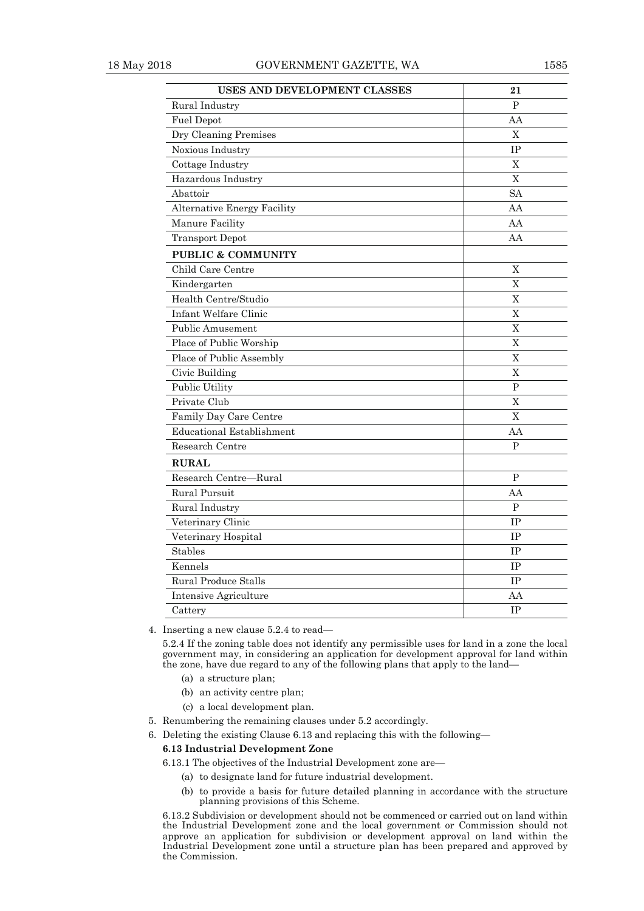| USES AND DEVELOPMENT CLASSES       | 21             |
|------------------------------------|----------------|
| Rural Industry                     | $\overline{P}$ |
| <b>Fuel Depot</b>                  | AA             |
| Dry Cleaning Premises              | X              |
| Noxious Industry                   | IP             |
| Cottage Industry                   | X              |
| Hazardous Industry                 | $\overline{X}$ |
| Abattoir                           | <b>SA</b>      |
| <b>Alternative Energy Facility</b> | AA             |
| Manure Facility                    | AA             |
| <b>Transport Depot</b>             | AA             |
| <b>PUBLIC &amp; COMMUNITY</b>      |                |
| Child Care Centre                  | X              |
| Kindergarten                       | $\overline{X}$ |
| Health Centre/Studio               | X              |
| Infant Welfare Clinic              | $\overline{X}$ |
| <b>Public Amusement</b>            | X              |
| Place of Public Worship            | X              |
| Place of Public Assembly           | $\overline{X}$ |
| Civic Building                     | $\mathbf X$    |
| Public Utility                     | $\mathbf P$    |
| Private Club                       | X              |
| Family Day Care Centre             | X              |
| <b>Educational Establishment</b>   | AA             |
| Research Centre                    | $\mathbf{P}$   |
| <b>RURAL</b>                       |                |
| Research Centre-Rural              | $\overline{P}$ |
| Rural Pursuit                      | AA             |
| Rural Industry                     | P              |
| Veterinary Clinic                  | <b>IP</b>      |
| Veterinary Hospital                | $\rm IP$       |
| <b>Stables</b>                     | IP             |
| Kennels                            | IP             |
| <b>Rural Produce Stalls</b>        | <b>IP</b>      |
| Intensive Agriculture              | AA             |
| Cattery                            | $\rm IP$       |

4. Inserting a new clause 5.2.4 to read—

5.2.4 If the zoning table does not identify any permissible uses for land in a zone the local government may, in considering an application for development approval for land within the zone, have due regard to any of the following plans that apply to the land—

- (a) a structure plan;
- (b) an activity centre plan;
- (c) a local development plan.
- 5. Renumbering the remaining clauses under 5.2 accordingly.
- 6. Deleting the existing Clause 6.13 and replacing this with the following—

#### **6.13 Industrial Development Zone**

6.13.1 The objectives of the Industrial Development zone are—

- (a) to designate land for future industrial development.
- (b) to provide a basis for future detailed planning in accordance with the structure planning provisions of this Scheme.

6.13.2 Subdivision or development should not be commenced or carried out on land within the Industrial Development zone and the local government or Commission should not approve an application for subdivision or development approval on land within the Industrial Development zone until a structure plan has been prepared and approved by the Commission.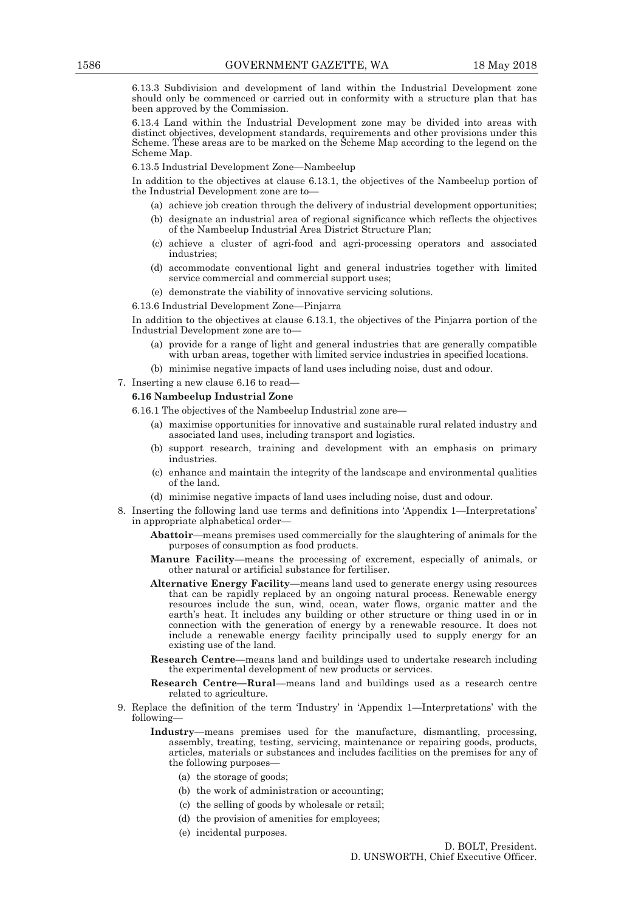6.13.3 Subdivision and development of land within the Industrial Development zone should only be commenced or carried out in conformity with a structure plan that has been approved by the Commission.

6.13.4 Land within the Industrial Development zone may be divided into areas with distinct objectives, development standards, requirements and other provisions under this Scheme. These areas are to be marked on the Scheme Map according to the legend on the Scheme Map.

6.13.5 Industrial Development Zone—Nambeelup

In addition to the objectives at clause 6.13.1, the objectives of the Nambeelup portion of the Industrial Development zone are to—

- (a) achieve job creation through the delivery of industrial development opportunities;
- (b) designate an industrial area of regional significance which reflects the objectives of the Nambeelup Industrial Area District Structure Plan;
- (c) achieve a cluster of agri-food and agri-processing operators and associated industries;
- (d) accommodate conventional light and general industries together with limited service commercial and commercial support uses;
- (e) demonstrate the viability of innovative servicing solutions.

6.13.6 Industrial Development Zone—Pinjarra

In addition to the objectives at clause 6.13.1, the objectives of the Pinjarra portion of the Industrial Development zone are to—

- (a) provide for a range of light and general industries that are generally compatible with urban areas, together with limited service industries in specified locations.
- (b) minimise negative impacts of land uses including noise, dust and odour.
- 7. Inserting a new clause 6.16 to read—

#### **6.16 Nambeelup Industrial Zone**

- 6.16.1 The objectives of the Nambeelup Industrial zone are—
	- (a) maximise opportunities for innovative and sustainable rural related industry and associated land uses, including transport and logistics.
	- (b) support research, training and development with an emphasis on primary industries.
	- (c) enhance and maintain the integrity of the landscape and environmental qualities of the land.
	- (d) minimise negative impacts of land uses including noise, dust and odour.
- 8. Inserting the following land use terms and definitions into 'Appendix 1—Interpretations' in appropriate alphabetical order—

**Abattoir**—means premises used commercially for the slaughtering of animals for the purposes of consumption as food products.

**Manure Facility**—means the processing of excrement, especially of animals, or other natural or artificial substance for fertiliser.

- **Alternative Energy Facility**—means land used to generate energy using resources that can be rapidly replaced by an ongoing natural process. Renewable energy resources include the sun, wind, ocean, water flows, organic matter and the earth's heat. It includes any building or other structure or thing used in or in connection with the generation of energy by a renewable resource. It does not include a renewable energy facility principally used to supply energy for an existing use of the land.
- **Research Centre**—means land and buildings used to undertake research including the experimental development of new products or services.
- **Research Centre—Rural**—means land and buildings used as a research centre related to agriculture.
- 9. Replace the definition of the term 'Industry' in 'Appendix 1—Interpretations' with the following—
	- **Industry**—means premises used for the manufacture, dismantling, processing, assembly, treating, testing, servicing, maintenance or repairing goods, products, articles, materials or substances and includes facilities on the premises for any of the following purposes—
		- (a) the storage of goods;
		- (b) the work of administration or accounting;
		- (c) the selling of goods by wholesale or retail;
		- (d) the provision of amenities for employees;
		- (e) incidental purposes.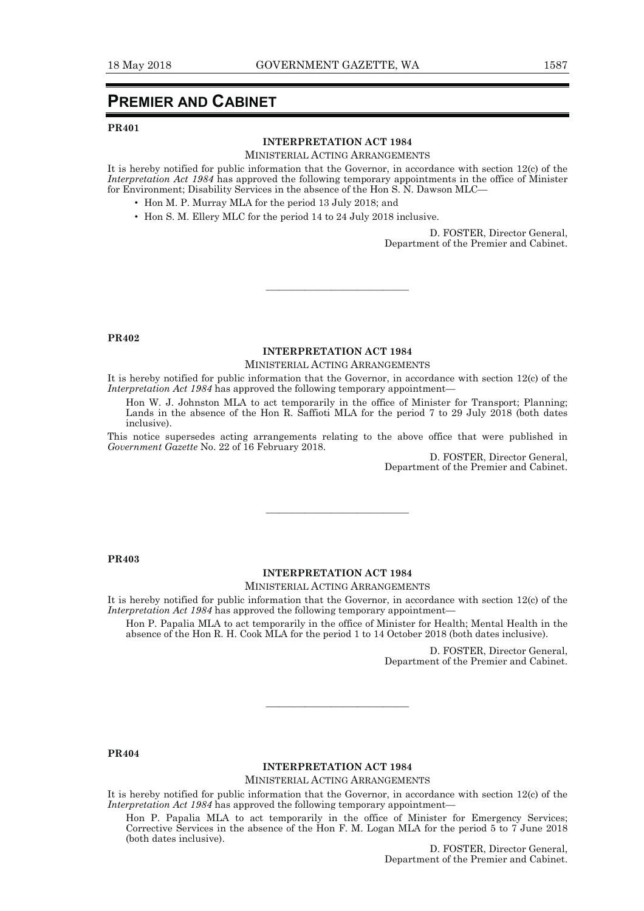# **PREMIER AND CABINET**

#### **PR401**

#### **INTERPRETATION ACT 1984**

MINISTERIAL ACTING ARRANGEMENTS

It is hereby notified for public information that the Governor, in accordance with section 12(c) of the *Interpretation Act 1984* has approved the following temporary appointments in the office of Minister for Environment; Disability Services in the absence of the Hon S. N. Dawson MLC—

- Hon M. P. Murray MLA for the period 13 July 2018; and
- Hon S. M. Ellery MLC for the period 14 to 24 July 2018 inclusive.

D. FOSTER, Director General, Department of the Premier and Cabinet.

**PR402** 

#### **INTERPRETATION ACT 1984**

———————————

MINISTERIAL ACTING ARRANGEMENTS

It is hereby notified for public information that the Governor, in accordance with section 12(c) of the *Interpretation Act 1984* has approved the following temporary appointment-

Hon W. J. Johnston MLA to act temporarily in the office of Minister for Transport; Planning; Lands in the absence of the Hon R. Saffioti MLA for the period 7 to 29 July 2018 (both dates inclusive).

This notice supersedes acting arrangements relating to the above office that were published in *Government Gazette* No. 22 of 16 February 2018.

D. FOSTER, Director General, Department of the Premier and Cabinet.

**PR403** 

#### **INTERPRETATION ACT 1984**

MINISTERIAL ACTING ARRANGEMENTS

———————————

It is hereby notified for public information that the Governor, in accordance with section 12(c) of the *Interpretation Act 1984* has approved the following temporary appointment—

Hon P. Papalia MLA to act temporarily in the office of Minister for Health; Mental Health in the absence of the Hon R. H. Cook MLA for the period 1 to 14 October 2018 (both dates inclusive).

> D. FOSTER, Director General, Department of the Premier and Cabinet.

**PR404** 

#### **INTERPRETATION ACT 1984**

———————————

MINISTERIAL ACTING ARRANGEMENTS

It is hereby notified for public information that the Governor, in accordance with section 12(c) of the *Interpretation Act 1984* has approved the following temporary appointment-

Hon P. Papalia MLA to act temporarily in the office of Minister for Emergency Services; Corrective Services in the absence of the Hon F. M. Logan MLA for the period 5 to 7 June 2018 (both dates inclusive).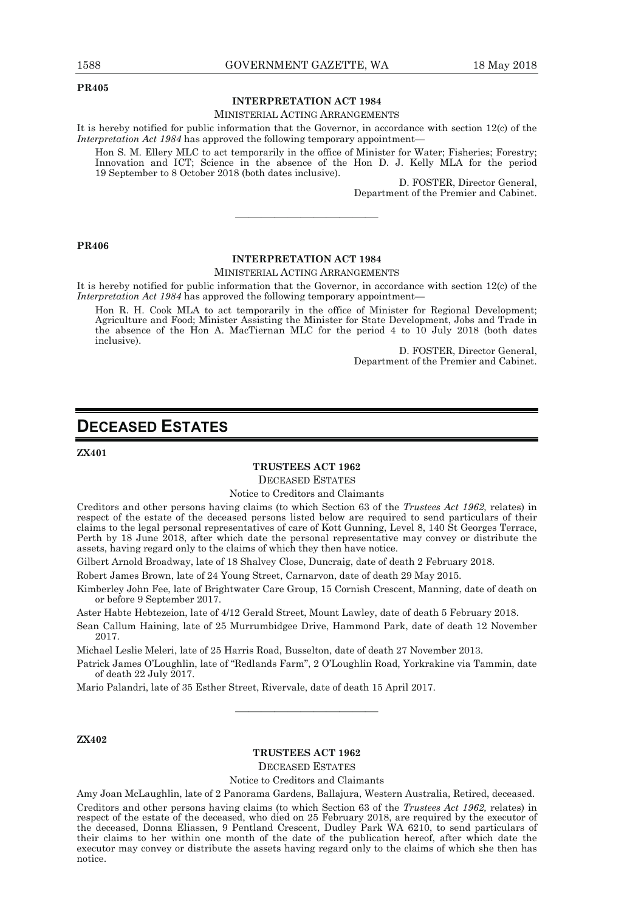**PR405** 

#### **INTERPRETATION ACT 1984**

#### MINISTERIAL ACTING ARRANGEMENTS

It is hereby notified for public information that the Governor, in accordance with section 12(c) of the *Interpretation Act 1984* has approved the following temporary appointment—

Hon S. M. Ellery MLC to act temporarily in the office of Minister for Water; Fisheries; Forestry; Innovation and ICT; Science in the absence of the Hon D. J. Kelly MLA for the period 19 September to 8 October 2018 (both dates inclusive).

D. FOSTER, Director General, Department of the Premier and Cabinet.

#### **PR406**

#### **INTERPRETATION ACT 1984**

———————————

#### MINISTERIAL ACTING ARRANGEMENTS

It is hereby notified for public information that the Governor, in accordance with section 12(c) of the *Interpretation Act 1984* has approved the following temporary appointment—

Hon R. H. Cook MLA to act temporarily in the office of Minister for Regional Development; Agriculture and Food; Minister Assisting the Minister for State Development, Jobs and Trade in the absence of the Hon A. MacTiernan MLC for the period 4 to 10 July 2018 (both dates inclusive).

> D. FOSTER, Director General, Department of the Premier and Cabinet.

# **DECEASED ESTATES**

**ZX401** 

#### **TRUSTEES ACT 1962**

DECEASED ESTATES

Notice to Creditors and Claimants

Creditors and other persons having claims (to which Section 63 of the *Trustees Act 1962,* relates) in respect of the estate of the deceased persons listed below are required to send particulars of their claims to the legal personal representatives of care of Kott Gunning, Level 8, 140 St Georges Terrace, Perth by 18 June 2018, after which date the personal representative may convey or distribute the assets, having regard only to the claims of which they then have notice.

Gilbert Arnold Broadway, late of 18 Shalvey Close, Duncraig, date of death 2 February 2018.

Robert James Brown, late of 24 Young Street, Carnarvon, date of death 29 May 2015.

Kimberley John Fee, late of Brightwater Care Group, 15 Cornish Crescent, Manning, date of death on or before 9 September 2017.

Aster Habte Hebtezeion, late of 4/12 Gerald Street, Mount Lawley, date of death 5 February 2018.

Sean Callum Haining, late of 25 Murrumbidgee Drive, Hammond Park, date of death 12 November 2017.

Michael Leslie Meleri, late of 25 Harris Road, Busselton, date of death 27 November 2013.

Patrick James O'Loughlin, late of "Redlands Farm", 2 O'Loughlin Road, Yorkrakine via Tammin, date of death 22 July 2017.

Mario Palandri, late of 35 Esther Street, Rivervale, date of death 15 April 2017.

#### **ZX402**

#### **TRUSTEES ACT 1962**

———————————

DECEASED ESTATES

#### Notice to Creditors and Claimants

Amy Joan McLaughlin, late of 2 Panorama Gardens, Ballajura, Western Australia, Retired, deceased. Creditors and other persons having claims (to which Section 63 of the *Trustees Act 1962,* relates) in respect of the estate of the deceased, who died on 25 February 2018, are required by the executor of the deceased, Donna Eliassen, 9 Pentland Crescent, Dudley Park WA 6210, to send particulars of their claims to her within one month of the date of the publication hereof, after which date the executor may convey or distribute the assets having regard only to the claims of which she then has notice.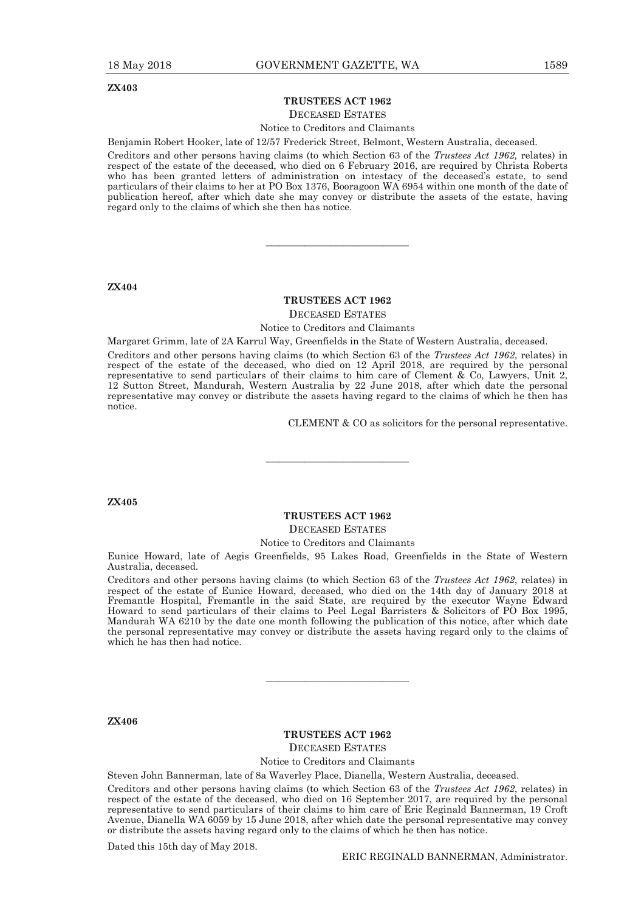#### **TRUSTEES ACT 1962**

#### DECEASED ESTATES

Notice to Creditors and Claimants

Benjamin Robert Hooker, late of 12/57 Frederick Street, Belmont, Western Australia, deceased.

Creditors and other persons having claims (to which Section 63 of the *Trustees Act 1962,* relates) in respect of the estate of the deceased, who died on 6 February 2016, are required by Christa Roberts who has been granted letters of administration on intestacy of the deceased's estate, to send particulars of their claims to her at PO Box 1376, Booragoon WA 6954 within one month of the date of publication hereof, after which date she may convey or distribute the assets of the estate, having regard only to the claims of which she then has notice.

**ZX404** 

#### **TRUSTEES ACT 1962**

———————————

DECEASED ESTATES

Notice to Creditors and Claimants

Margaret Grimm, late of 2A Karrul Way, Greenfields in the State of Western Australia, deceased.

Creditors and other persons having claims (to which Section 63 of the *Trustees Act 1962*, relates) in respect of the estate of the deceased, who died on 12 April 2018, are required by the personal representative to send particulars of their claims to him care of Clement & Co, Lawyers, Unit 2, 12 Sutton Street, Mandurah, Western Australia by 22 June 2018, after which date the personal representative may convey or distribute the assets having regard to the claims of which he then has notice.

CLEMENT & CO as solicitors for the personal representative.

**ZX405** 

#### **TRUSTEES ACT 1962**  DECEASED ESTATES

———————————

Notice to Creditors and Claimants

Eunice Howard, late of Aegis Greenfields, 95 Lakes Road, Greenfields in the State of Western Australia, deceased.

Creditors and other persons having claims (to which Section 63 of the *Trustees Act 1962*, relates) in respect of the estate of Eunice Howard, deceased, who died on the 14th day of January 2018 at Fremantle Hospital, Fremantle in the said State, are required by the executor Wayne Edward Howard to send particulars of their claims to Peel Legal Barristers & Solicitors of PO Box 1995, Mandurah WA 6210 by the date one month following the publication of this notice, after which date the personal representative may convey or distribute the assets having regard only to the claims of which he has then had notice.

———————————

**ZX406** 

### **TRUSTEES ACT 1962**  DECEASED ESTATES Notice to Creditors and Claimants

Steven John Bannerman, late of 8a Waverley Place, Dianella, Western Australia, deceased.

Creditors and other persons having claims (to which Section 63 of the *Trustees Act 1962*, relates) in respect of the estate of the deceased, who died on 16 September 2017, are required by the personal representative to send particulars of their claims to him care of Eric Reginald Bannerman, 19 Croft Avenue, Dianella WA 6059 by 15 June 2018, after which date the personal representative may convey or distribute the assets having regard only to the claims of which he then has notice.

Dated this 15th day of May 2018.

ERIC REGINALD BANNERMAN, Administrator.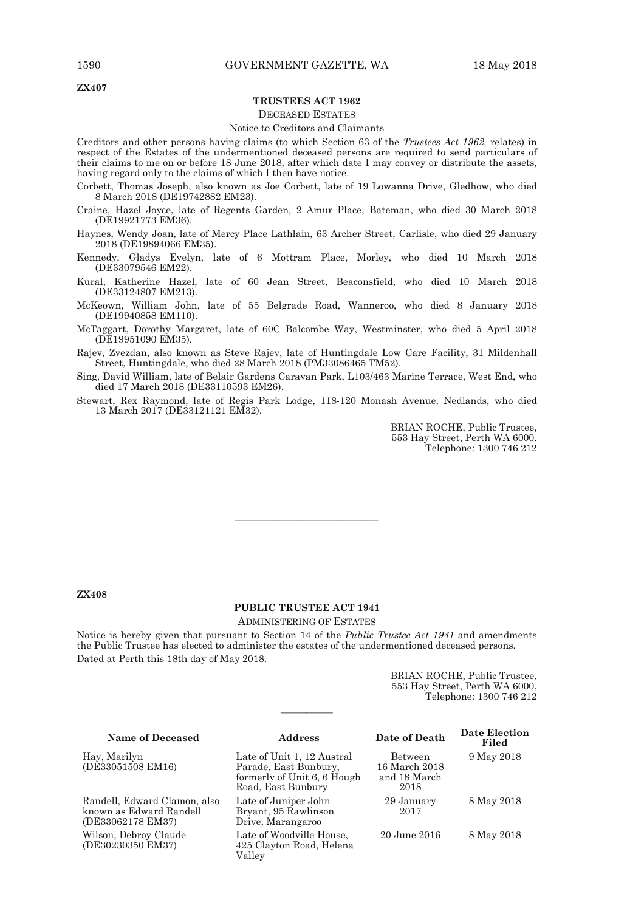**ZX407** 

#### **TRUSTEES ACT 1962**

#### DECEASED ESTATES

#### Notice to Creditors and Claimants

Creditors and other persons having claims (to which Section 63 of the *Trustees Act 1962,* relates) in respect of the Estates of the undermentioned deceased persons are required to send particulars of their claims to me on or before 18 June 2018, after which date I may convey or distribute the assets, having regard only to the claims of which I then have notice.

Corbett, Thomas Joseph, also known as Joe Corbett, late of 19 Lowanna Drive, Gledhow, who died 8 March 2018 (DE19742882 EM23).

Craine, Hazel Joyce, late of Regents Garden, 2 Amur Place, Bateman, who died 30 March 2018 (DE19921773 EM36).

Haynes, Wendy Joan, late of Mercy Place Lathlain, 63 Archer Street, Carlisle, who died 29 January 2018 (DE19894066 EM35).

Kennedy, Gladys Evelyn, late of 6 Mottram Place, Morley, who died 10 March 2018 (DE33079546 EM22).

Kural, Katherine Hazel, late of 60 Jean Street, Beaconsfield, who died 10 March 2018 (DE33124807 EM213).

McKeown, William John, late of 55 Belgrade Road, Wanneroo, who died 8 January 2018 (DE19940858 EM110).

McTaggart, Dorothy Margaret, late of 60C Balcombe Way, Westminster, who died 5 April 2018 (DE19951090 EM35).

Rajev, Zvezdan, also known as Steve Rajev, late of Huntingdale Low Care Facility, 31 Mildenhall Street, Huntingdale, who died 28 March 2018 (PM33086465 TM52).

Sing, David William, late of Belair Gardens Caravan Park, L103/463 Marine Terrace, West End, who died 17 March 2018 (DE33110593 EM26).

Stewart, Rex Raymond, late of Regis Park Lodge, 118-120 Monash Avenue, Nedlands, who died 13 March 2017 (DE33121121 EM32).

> BRIAN ROCHE, Public Trustee, 553 Hay Street, Perth WA 6000. Telephone: 1300 746 212

#### **ZX408**

# **PUBLIC TRUSTEE ACT 1941**

———————————

ADMINISTERING OF ESTATES

Notice is hereby given that pursuant to Section 14 of the *Public Trustee Act 1941* and amendments the Public Trustee has elected to administer the estates of the undermentioned deceased persons. Dated at Perth this 18th day of May 2018.

————

BRIAN ROCHE, Public Trustee, 553 Hay Street, Perth WA 6000. Telephone: 1300 746 212

#### **Name of Deceased Address Date of Death Date Election Filed**  Hay, Marilyn (DE33051508 EM16) Late of Unit 1, 12 Austral Parade, East Bunbury, formerly of Unit 6, 6 Hough Road, East Bunbury Between 16 March 2018 and 18 March 2018 9 May 2018 Randell, Edward Clamon, also known as Edward Randell (DE33062178 EM37) Late of Juniper John Bryant, 95 Rawlinson Drive, Marangaroo 29 January 2017 8 May 2018 Wilson, Debroy Claude (DE30230350 EM37) Late of Woodville House, 425 Clayton Road, Helena Valley 20 June 2016 8 May 2018